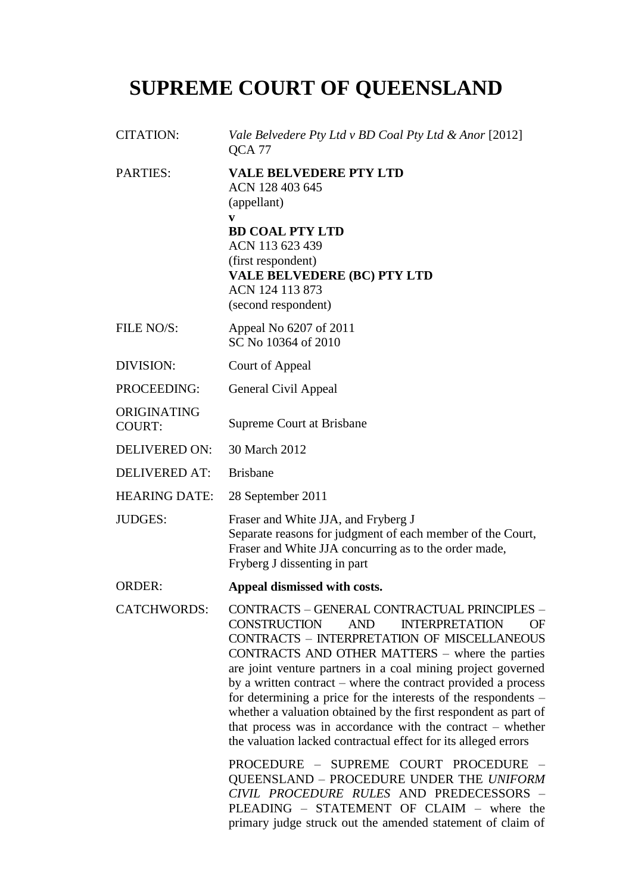# **SUPREME COURT OF QUEENSLAND**

| <b>CITATION:</b>             | Vale Belvedere Pty Ltd v BD Coal Pty Ltd & Anor [2012]<br>QCA <sub>77</sub>                                                                                                                                                                                                                                                                                                                                                                                                                                                                                                                                                              |
|------------------------------|------------------------------------------------------------------------------------------------------------------------------------------------------------------------------------------------------------------------------------------------------------------------------------------------------------------------------------------------------------------------------------------------------------------------------------------------------------------------------------------------------------------------------------------------------------------------------------------------------------------------------------------|
| PARTIES:                     | <b>VALE BELVEDERE PTY LTD</b><br>ACN 128 403 645<br>(appellant)<br>V<br><b>BD COAL PTY LTD</b><br>ACN 113 623 439<br>(first respondent)<br><b>VALE BELVEDERE (BC) PTY LTD</b><br>ACN 124 113 873<br>(second respondent)                                                                                                                                                                                                                                                                                                                                                                                                                  |
| FILE NO/S:                   | Appeal No 6207 of 2011<br>SC No 10364 of 2010                                                                                                                                                                                                                                                                                                                                                                                                                                                                                                                                                                                            |
| DIVISION:                    | Court of Appeal                                                                                                                                                                                                                                                                                                                                                                                                                                                                                                                                                                                                                          |
| PROCEEDING:                  | General Civil Appeal                                                                                                                                                                                                                                                                                                                                                                                                                                                                                                                                                                                                                     |
| ORIGINATING<br><b>COURT:</b> | Supreme Court at Brisbane                                                                                                                                                                                                                                                                                                                                                                                                                                                                                                                                                                                                                |
| <b>DELIVERED ON:</b>         | 30 March 2012                                                                                                                                                                                                                                                                                                                                                                                                                                                                                                                                                                                                                            |
| <b>DELIVERED AT:</b>         | <b>Brisbane</b>                                                                                                                                                                                                                                                                                                                                                                                                                                                                                                                                                                                                                          |
| <b>HEARING DATE:</b>         | 28 September 2011                                                                                                                                                                                                                                                                                                                                                                                                                                                                                                                                                                                                                        |
| <b>JUDGES:</b>               | Fraser and White JJA, and Fryberg J<br>Separate reasons for judgment of each member of the Court,<br>Fraser and White JJA concurring as to the order made,<br>Fryberg J dissenting in part                                                                                                                                                                                                                                                                                                                                                                                                                                               |
| <b>ORDER:</b>                | Appeal dismissed with costs.                                                                                                                                                                                                                                                                                                                                                                                                                                                                                                                                                                                                             |
| <b>CATCHWORDS:</b>           | CONTRACTS - GENERAL CONTRACTUAL PRINCIPLES -<br><b>INTERPRETATION</b><br><b>CONSTRUCTION</b><br><b>AND</b><br><b>OF</b><br><b>CONTRACTS - INTERPRETATION OF MISCELLANEOUS</b><br>CONTRACTS AND OTHER MATTERS – where the parties<br>are joint venture partners in a coal mining project governed<br>by a written contract – where the contract provided a process<br>for determining a price for the interests of the respondents –<br>whether a valuation obtained by the first respondent as part of<br>that process was in accordance with the contract $-$ whether<br>the valuation lacked contractual effect for its alleged errors |
|                              | PROCEDURE - SUPREME COURT PROCEDURE -<br>QUEENSLAND - PROCEDURE UNDER THE UNIFORM<br>CIVIL PROCEDURE RULES AND PREDECESSORS -<br>PLEADING - STATEMENT OF CLAIM - where the<br>primary judge struck out the amended statement of claim of                                                                                                                                                                                                                                                                                                                                                                                                 |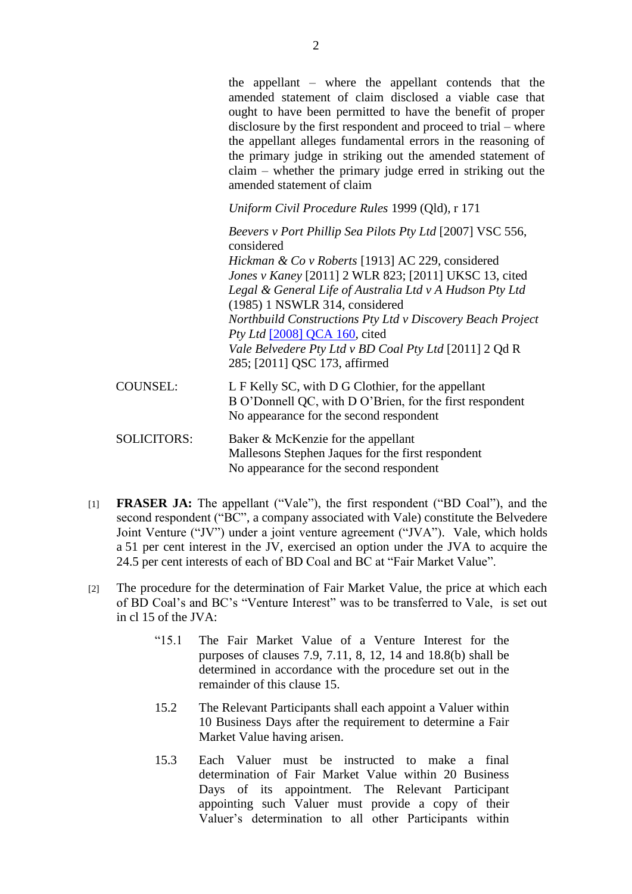the appellant – where the appellant contends that the amended statement of claim disclosed a viable case that ought to have been permitted to have the benefit of proper disclosure by the first respondent and proceed to trial – where the appellant alleges fundamental errors in the reasoning of the primary judge in striking out the amended statement of claim – whether the primary judge erred in striking out the amended statement of claim

*Uniform Civil Procedure Rules* 1999 (Qld), r 171

*Beevers v Port Phillip Sea Pilots Pty Ltd* [2007] VSC 556, considered *Hickman & Co v Roberts* [1913] AC 229, considered *Jones v Kaney* [2011] 2 WLR 823; [2011] UKSC 13, cited *Legal & General Life of Australia Ltd v A Hudson Pty Ltd* (1985) 1 NSWLR 314, considered *Northbuild Constructions Pty Ltd v Discovery Beach Project Pty Ltd* [2008] **QCA** 160, cited *Vale Belvedere Pty Ltd v BD Coal Pty Ltd* [2011] 2 Qd R 285; [2011] QSC 173, affirmed

- COUNSEL: L F Kelly SC, with D G Clothier, for the appellant B O"Donnell QC, with D O"Brien, for the first respondent No appearance for the second respondent
- SOLICITORS: Baker & McKenzie for the appellant Mallesons Stephen Jaques for the first respondent No appearance for the second respondent
- [1] **FRASER JA:** The appellant ("Vale"), the first respondent ("BD Coal"), and the second respondent ("BC", a company associated with Vale) constitute the Belvedere Joint Venture ("JV") under a joint venture agreement ("JVA"). Vale, which holds a 51 per cent interest in the JV, exercised an option under the JVA to acquire the 24.5 per cent interests of each of BD Coal and BC at "Fair Market Value".
- [2] The procedure for the determination of Fair Market Value, the price at which each of BD Coal"s and BC"s "Venture Interest" was to be transferred to Vale, is set out in cl 15 of the JVA:
	- "15.1 The Fair Market Value of a Venture Interest for the purposes of clauses 7.9, 7.11, 8, 12, 14 and 18.8(b) shall be determined in accordance with the procedure set out in the remainder of this clause 15.
	- 15.2 The Relevant Participants shall each appoint a Valuer within 10 Business Days after the requirement to determine a Fair Market Value having arisen.
	- 15.3 Each Valuer must be instructed to make a final determination of Fair Market Value within 20 Business Days of its appointment. The Relevant Participant appointing such Valuer must provide a copy of their Valuer"s determination to all other Participants within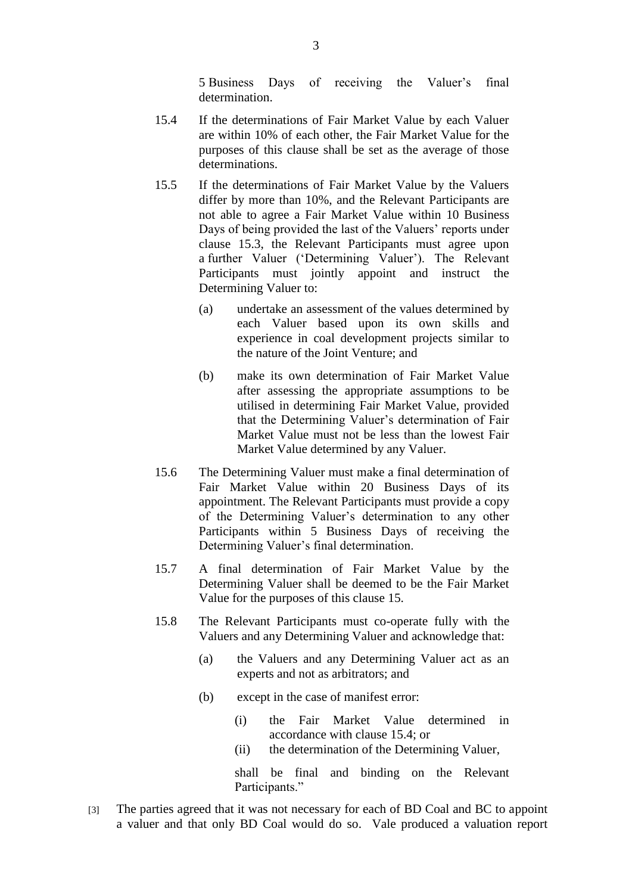5 Business Days of receiving the Valuer"s final determination.

- 15.4 If the determinations of Fair Market Value by each Valuer are within 10% of each other, the Fair Market Value for the purposes of this clause shall be set as the average of those determinations.
- 15.5 If the determinations of Fair Market Value by the Valuers differ by more than 10%, and the Relevant Participants are not able to agree a Fair Market Value within 10 Business Days of being provided the last of the Valuers' reports under clause 15.3, the Relevant Participants must agree upon a further Valuer ("Determining Valuer"). The Relevant Participants must jointly appoint and instruct the Determining Valuer to:
	- (a) undertake an assessment of the values determined by each Valuer based upon its own skills and experience in coal development projects similar to the nature of the Joint Venture; and
	- (b) make its own determination of Fair Market Value after assessing the appropriate assumptions to be utilised in determining Fair Market Value, provided that the Determining Valuer's determination of Fair Market Value must not be less than the lowest Fair Market Value determined by any Valuer.
- 15.6 The Determining Valuer must make a final determination of Fair Market Value within 20 Business Days of its appointment. The Relevant Participants must provide a copy of the Determining Valuer"s determination to any other Participants within 5 Business Days of receiving the Determining Valuer's final determination.
- 15.7 A final determination of Fair Market Value by the Determining Valuer shall be deemed to be the Fair Market Value for the purposes of this clause 15.
- 15.8 The Relevant Participants must co-operate fully with the Valuers and any Determining Valuer and acknowledge that:
	- (a) the Valuers and any Determining Valuer act as an experts and not as arbitrators; and
	- (b) except in the case of manifest error:
		- (i) the Fair Market Value determined in accordance with clause 15.4; or
		- (ii) the determination of the Determining Valuer,

shall be final and binding on the Relevant Participants."

[3] The parties agreed that it was not necessary for each of BD Coal and BC to appoint a valuer and that only BD Coal would do so. Vale produced a valuation report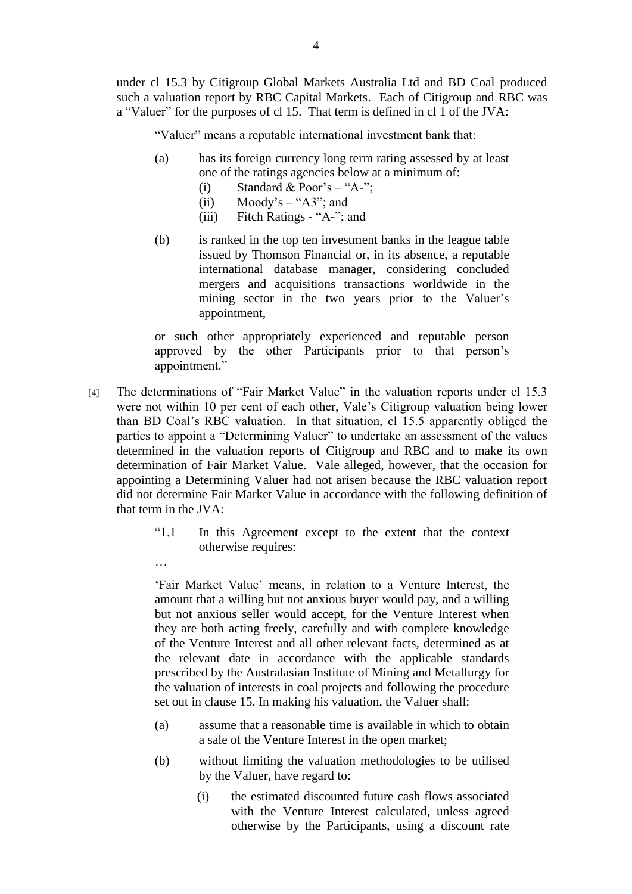under cl 15.3 by Citigroup Global Markets Australia Ltd and BD Coal produced such a valuation report by RBC Capital Markets. Each of Citigroup and RBC was a "Valuer" for the purposes of cl 15. That term is defined in cl 1 of the JVA:

"Valuer" means a reputable international investment bank that:

- (a) has its foreign currency long term rating assessed by at least one of the ratings agencies below at a minimum of:
	- (i) Standard & Poor's "A-";
	- (ii) Moody's  $-$  "A3"; and
	- (iii) Fitch Ratings "A-"; and
- (b) is ranked in the top ten investment banks in the league table issued by Thomson Financial or, in its absence, a reputable international database manager, considering concluded mergers and acquisitions transactions worldwide in the mining sector in the two years prior to the Valuer's appointment,

or such other appropriately experienced and reputable person approved by the other Participants prior to that person"s appointment."

- [4] The determinations of "Fair Market Value" in the valuation reports under cl 15.3 were not within 10 per cent of each other, Vale"s Citigroup valuation being lower than BD Coal"s RBC valuation. In that situation, cl 15.5 apparently obliged the parties to appoint a "Determining Valuer" to undertake an assessment of the values determined in the valuation reports of Citigroup and RBC and to make its own determination of Fair Market Value. Vale alleged, however, that the occasion for appointing a Determining Valuer had not arisen because the RBC valuation report did not determine Fair Market Value in accordance with the following definition of that term in the JVA:
	- "1.1 In this Agreement except to the extent that the context otherwise requires:

…

"Fair Market Value" means, in relation to a Venture Interest, the amount that a willing but not anxious buyer would pay, and a willing but not anxious seller would accept, for the Venture Interest when they are both acting freely, carefully and with complete knowledge of the Venture Interest and all other relevant facts, determined as at the relevant date in accordance with the applicable standards prescribed by the Australasian Institute of Mining and Metallurgy for the valuation of interests in coal projects and following the procedure set out in clause 15. In making his valuation, the Valuer shall:

- (a) assume that a reasonable time is available in which to obtain a sale of the Venture Interest in the open market;
- (b) without limiting the valuation methodologies to be utilised by the Valuer, have regard to:
	- (i) the estimated discounted future cash flows associated with the Venture Interest calculated, unless agreed otherwise by the Participants, using a discount rate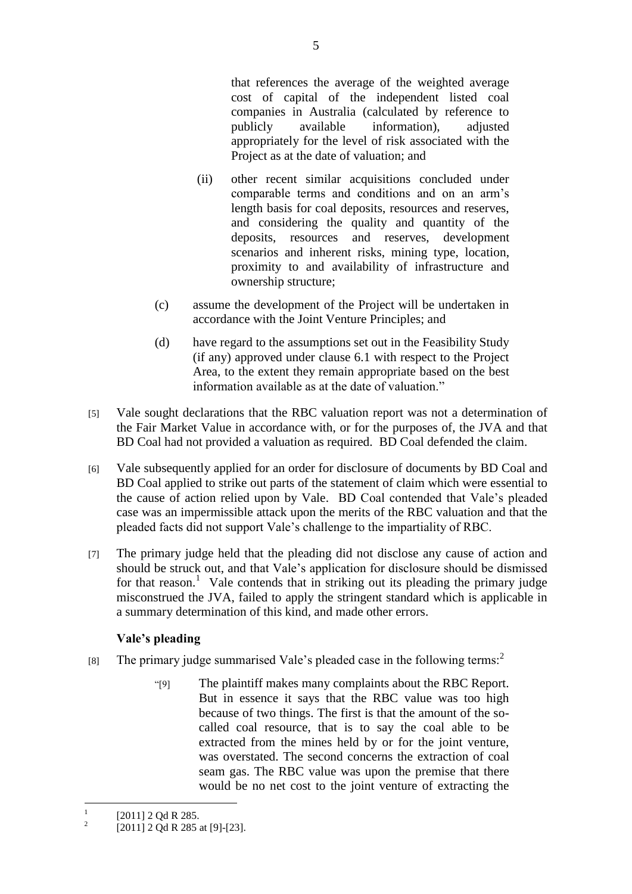that references the average of the weighted average cost of capital of the independent listed coal companies in Australia (calculated by reference to publicly available information), adjusted appropriately for the level of risk associated with the Project as at the date of valuation; and

- (ii) other recent similar acquisitions concluded under comparable terms and conditions and on an arm"s length basis for coal deposits, resources and reserves, and considering the quality and quantity of the deposits, resources and reserves, development scenarios and inherent risks, mining type, location, proximity to and availability of infrastructure and ownership structure;
- (c) assume the development of the Project will be undertaken in accordance with the Joint Venture Principles; and
- (d) have regard to the assumptions set out in the Feasibility Study (if any) approved under clause 6.1 with respect to the Project Area, to the extent they remain appropriate based on the best information available as at the date of valuation."
- [5] Vale sought declarations that the RBC valuation report was not a determination of the Fair Market Value in accordance with, or for the purposes of, the JVA and that BD Coal had not provided a valuation as required. BD Coal defended the claim.
- [6] Vale subsequently applied for an order for disclosure of documents by BD Coal and BD Coal applied to strike out parts of the statement of claim which were essential to the cause of action relied upon by Vale. BD Coal contended that Vale"s pleaded case was an impermissible attack upon the merits of the RBC valuation and that the pleaded facts did not support Vale"s challenge to the impartiality of RBC.
- [7] The primary judge held that the pleading did not disclose any cause of action and should be struck out, and that Vale"s application for disclosure should be dismissed for that reason.<sup>1</sup> Vale contends that in striking out its pleading the primary judge misconstrued the JVA, failed to apply the stringent standard which is applicable in a summary determination of this kind, and made other errors.

## **Vale's pleading**

- [8] The primary judge summarised Vale's pleaded case in the following terms:<sup>2</sup>
	- "[9] The plaintiff makes many complaints about the RBC Report. But in essence it says that the RBC value was too high because of two things. The first is that the amount of the socalled coal resource, that is to say the coal able to be extracted from the mines held by or for the joint venture, was overstated. The second concerns the extraction of coal seam gas. The RBC value was upon the premise that there would be no net cost to the joint venture of extracting the

 $\frac{1}{1}$ [2011] 2 Qd R 285.

 $\overline{2}$ [2011] 2 Qd R 285 at [9]-[23].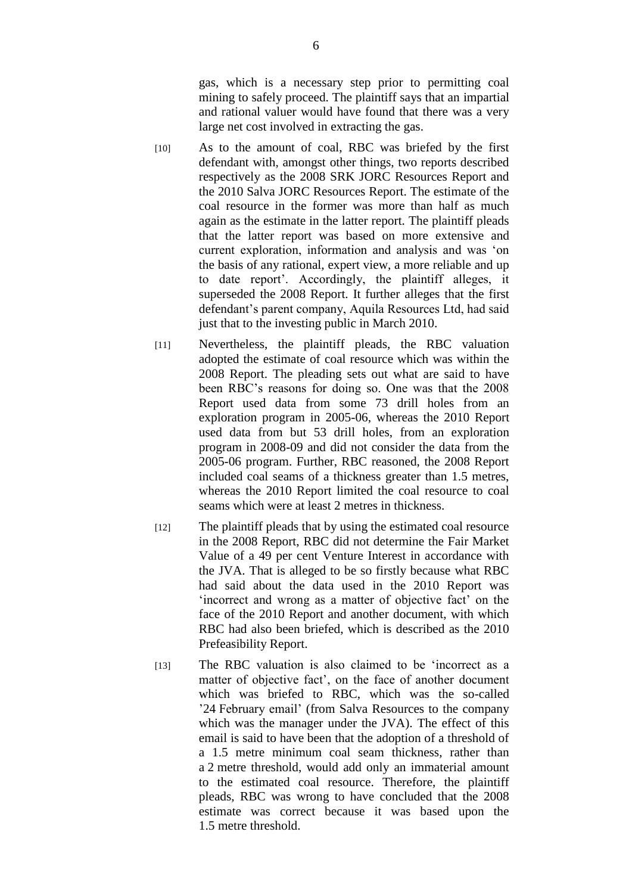gas, which is a necessary step prior to permitting coal mining to safely proceed. The plaintiff says that an impartial and rational valuer would have found that there was a very large net cost involved in extracting the gas.

- [10] As to the amount of coal, RBC was briefed by the first defendant with, amongst other things, two reports described respectively as the 2008 SRK JORC Resources Report and the 2010 Salva JORC Resources Report. The estimate of the coal resource in the former was more than half as much again as the estimate in the latter report. The plaintiff pleads that the latter report was based on more extensive and current exploration, information and analysis and was "on the basis of any rational, expert view, a more reliable and up to date report". Accordingly, the plaintiff alleges, it superseded the 2008 Report. It further alleges that the first defendant"s parent company, Aquila Resources Ltd, had said just that to the investing public in March 2010.
- [11] Nevertheless, the plaintiff pleads, the RBC valuation adopted the estimate of coal resource which was within the 2008 Report. The pleading sets out what are said to have been RBC"s reasons for doing so. One was that the 2008 Report used data from some 73 drill holes from an exploration program in 2005-06, whereas the 2010 Report used data from but 53 drill holes, from an exploration program in 2008-09 and did not consider the data from the 2005-06 program. Further, RBC reasoned, the 2008 Report included coal seams of a thickness greater than 1.5 metres, whereas the 2010 Report limited the coal resource to coal seams which were at least 2 metres in thickness.
- [12] The plaintiff pleads that by using the estimated coal resource in the 2008 Report, RBC did not determine the Fair Market Value of a 49 per cent Venture Interest in accordance with the JVA. That is alleged to be so firstly because what RBC had said about the data used in the 2010 Report was "incorrect and wrong as a matter of objective fact" on the face of the 2010 Report and another document, with which RBC had also been briefed, which is described as the 2010 Prefeasibility Report.
- [13] The RBC valuation is also claimed to be 'incorrect as a matter of objective fact', on the face of another document which was briefed to RBC, which was the so-called "24 February email" (from Salva Resources to the company which was the manager under the JVA). The effect of this email is said to have been that the adoption of a threshold of a 1.5 metre minimum coal seam thickness, rather than a 2 metre threshold, would add only an immaterial amount to the estimated coal resource. Therefore, the plaintiff pleads, RBC was wrong to have concluded that the 2008 estimate was correct because it was based upon the 1.5 metre threshold.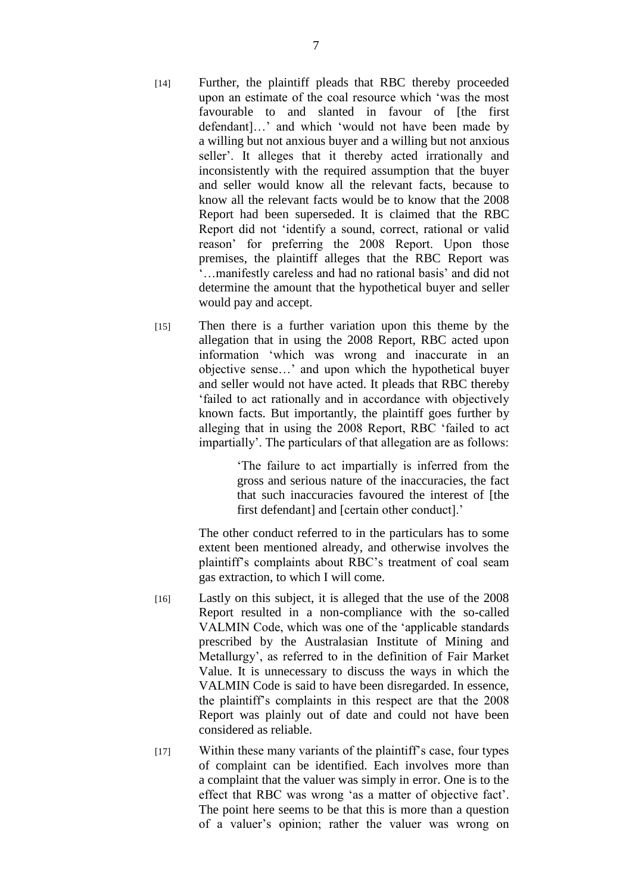- [14] Further, the plaintiff pleads that RBC thereby proceeded upon an estimate of the coal resource which "was the most favourable to and slanted in favour of [the first defendant]...' and which 'would not have been made by a willing but not anxious buyer and a willing but not anxious seller'. It alleges that it thereby acted irrationally and inconsistently with the required assumption that the buyer and seller would know all the relevant facts, because to know all the relevant facts would be to know that the 2008 Report had been superseded. It is claimed that the RBC Report did not "identify a sound, correct, rational or valid reason" for preferring the 2008 Report. Upon those premises, the plaintiff alleges that the RBC Report was "…manifestly careless and had no rational basis" and did not determine the amount that the hypothetical buyer and seller would pay and accept.
- [15] Then there is a further variation upon this theme by the allegation that in using the 2008 Report, RBC acted upon information "which was wrong and inaccurate in an objective sense…" and upon which the hypothetical buyer and seller would not have acted. It pleads that RBC thereby "failed to act rationally and in accordance with objectively known facts. But importantly, the plaintiff goes further by alleging that in using the 2008 Report, RBC "failed to act impartially'. The particulars of that allegation are as follows:

"The failure to act impartially is inferred from the gross and serious nature of the inaccuracies, the fact that such inaccuracies favoured the interest of [the first defendant] and [certain other conduct].'

The other conduct referred to in the particulars has to some extent been mentioned already, and otherwise involves the plaintiff"s complaints about RBC"s treatment of coal seam gas extraction, to which I will come.

- [16] Lastly on this subject, it is alleged that the use of the 2008 Report resulted in a non-compliance with the so-called VALMIN Code, which was one of the "applicable standards prescribed by the Australasian Institute of Mining and Metallurgy", as referred to in the definition of Fair Market Value. It is unnecessary to discuss the ways in which the VALMIN Code is said to have been disregarded. In essence, the plaintiff"s complaints in this respect are that the 2008 Report was plainly out of date and could not have been considered as reliable.
- [17] Within these many variants of the plaintiff"s case, four types of complaint can be identified. Each involves more than a complaint that the valuer was simply in error. One is to the effect that RBC was wrong "as a matter of objective fact". The point here seems to be that this is more than a question of a valuer"s opinion; rather the valuer was wrong on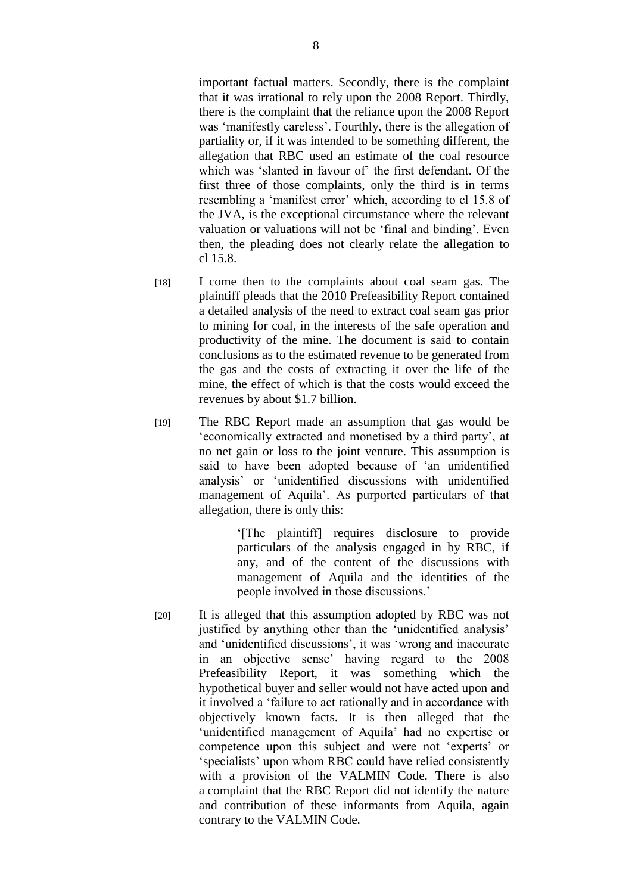important factual matters. Secondly, there is the complaint that it was irrational to rely upon the 2008 Report. Thirdly, there is the complaint that the reliance upon the 2008 Report was 'manifestly careless'. Fourthly, there is the allegation of partiality or, if it was intended to be something different, the allegation that RBC used an estimate of the coal resource which was 'slanted in favour of' the first defendant. Of the first three of those complaints, only the third is in terms resembling a 'manifest error' which, according to cl 15.8 of the JVA, is the exceptional circumstance where the relevant valuation or valuations will not be "final and binding". Even then, the pleading does not clearly relate the allegation to cl 15.8.

- [18] I come then to the complaints about coal seam gas. The plaintiff pleads that the 2010 Prefeasibility Report contained a detailed analysis of the need to extract coal seam gas prior to mining for coal, in the interests of the safe operation and productivity of the mine. The document is said to contain conclusions as to the estimated revenue to be generated from the gas and the costs of extracting it over the life of the mine, the effect of which is that the costs would exceed the revenues by about \$1.7 billion.
- [19] The RBC Report made an assumption that gas would be "economically extracted and monetised by a third party", at no net gain or loss to the joint venture. This assumption is said to have been adopted because of "an unidentified analysis" or "unidentified discussions with unidentified management of Aquila". As purported particulars of that allegation, there is only this:

"[The plaintiff] requires disclosure to provide particulars of the analysis engaged in by RBC, if any, and of the content of the discussions with management of Aquila and the identities of the people involved in those discussions."

[20] It is alleged that this assumption adopted by RBC was not justified by anything other than the 'unidentified analysis' and "unidentified discussions", it was "wrong and inaccurate in an objective sense" having regard to the 2008 Prefeasibility Report, it was something which the hypothetical buyer and seller would not have acted upon and it involved a "failure to act rationally and in accordance with objectively known facts. It is then alleged that the 'unidentified management of Aquila' had no expertise or competence upon this subject and were not 'experts' or 'specialists' upon whom RBC could have relied consistently with a provision of the VALMIN Code. There is also a complaint that the RBC Report did not identify the nature and contribution of these informants from Aquila, again contrary to the VALMIN Code.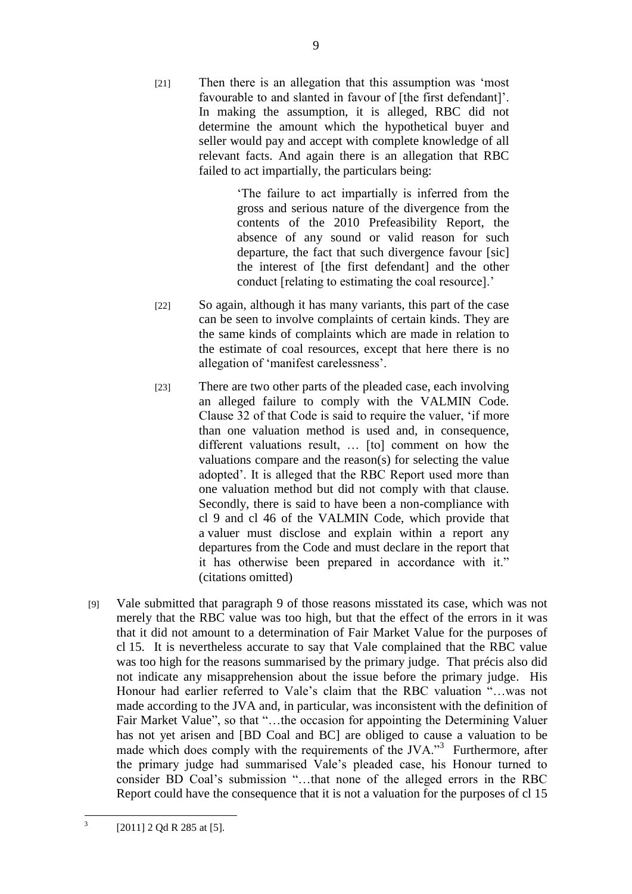[21] Then there is an allegation that this assumption was "most favourable to and slanted in favour of [the first defendant]'. In making the assumption, it is alleged, RBC did not determine the amount which the hypothetical buyer and seller would pay and accept with complete knowledge of all relevant facts. And again there is an allegation that RBC failed to act impartially, the particulars being:

> "The failure to act impartially is inferred from the gross and serious nature of the divergence from the contents of the 2010 Prefeasibility Report, the absence of any sound or valid reason for such departure, the fact that such divergence favour [sic] the interest of [the first defendant] and the other conduct [relating to estimating the coal resource].'

- [22] So again, although it has many variants, this part of the case can be seen to involve complaints of certain kinds. They are the same kinds of complaints which are made in relation to the estimate of coal resources, except that here there is no allegation of "manifest carelessness".
- [23] There are two other parts of the pleaded case, each involving an alleged failure to comply with the VALMIN Code. Clause 32 of that Code is said to require the valuer, "if more than one valuation method is used and, in consequence, different valuations result, … [to] comment on how the valuations compare and the reason(s) for selecting the value adopted". It is alleged that the RBC Report used more than one valuation method but did not comply with that clause. Secondly, there is said to have been a non-compliance with cl 9 and cl 46 of the VALMIN Code, which provide that a valuer must disclose and explain within a report any departures from the Code and must declare in the report that it has otherwise been prepared in accordance with it." (citations omitted)
- [9] Vale submitted that paragraph 9 of those reasons misstated its case, which was not merely that the RBC value was too high, but that the effect of the errors in it was that it did not amount to a determination of Fair Market Value for the purposes of cl 15. It is nevertheless accurate to say that Vale complained that the RBC value was too high for the reasons summarised by the primary judge. That précis also did not indicate any misapprehension about the issue before the primary judge. His Honour had earlier referred to Vale"s claim that the RBC valuation "…was not made according to the JVA and, in particular, was inconsistent with the definition of Fair Market Value", so that "...the occasion for appointing the Determining Valuer has not yet arisen and [BD Coal and BC] are obliged to cause a valuation to be made which does comply with the requirements of the JVA."<sup>3</sup> Furthermore, after the primary judge had summarised Vale"s pleaded case, his Honour turned to consider BD Coal"s submission "…that none of the alleged errors in the RBC Report could have the consequence that it is not a valuation for the purposes of cl 15

 $\frac{1}{3}$ 

<sup>[2011]</sup> 2 Qd R 285 at [5].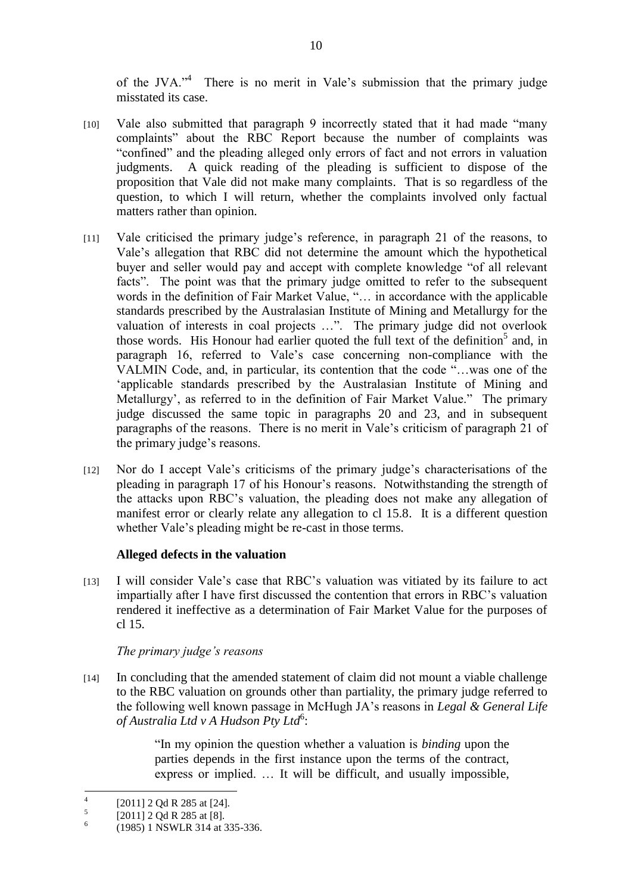of the JVA."<sup>4</sup> There is no merit in Vale's submission that the primary judge misstated its case.

- [10] Vale also submitted that paragraph 9 incorrectly stated that it had made "many complaints" about the RBC Report because the number of complaints was "confined" and the pleading alleged only errors of fact and not errors in valuation judgments. A quick reading of the pleading is sufficient to dispose of the proposition that Vale did not make many complaints. That is so regardless of the question, to which I will return, whether the complaints involved only factual matters rather than opinion.
- [11] Vale criticised the primary judge's reference, in paragraph 21 of the reasons, to Vale"s allegation that RBC did not determine the amount which the hypothetical buyer and seller would pay and accept with complete knowledge "of all relevant facts". The point was that the primary judge omitted to refer to the subsequent words in the definition of Fair Market Value, "… in accordance with the applicable standards prescribed by the Australasian Institute of Mining and Metallurgy for the valuation of interests in coal projects …". The primary judge did not overlook those words. His Honour had earlier quoted the full text of the definition<sup>5</sup> and, in paragraph 16, referred to Vale"s case concerning non-compliance with the VALMIN Code, and, in particular, its contention that the code "…was one of the "applicable standards prescribed by the Australasian Institute of Mining and Metallurgy', as referred to in the definition of Fair Market Value." The primary judge discussed the same topic in paragraphs 20 and 23, and in subsequent paragraphs of the reasons. There is no merit in Vale"s criticism of paragraph 21 of the primary judge"s reasons.
- [12] Nor do I accept Vale"s criticisms of the primary judge"s characterisations of the pleading in paragraph 17 of his Honour"s reasons. Notwithstanding the strength of the attacks upon RBC"s valuation, the pleading does not make any allegation of manifest error or clearly relate any allegation to cl 15.8. It is a different question whether Vale's pleading might be re-cast in those terms.

## **Alleged defects in the valuation**

[13] I will consider Vale"s case that RBC"s valuation was vitiated by its failure to act impartially after I have first discussed the contention that errors in RBC"s valuation rendered it ineffective as a determination of Fair Market Value for the purposes of cl 15.

## *The primary judge's reasons*

[14] In concluding that the amended statement of claim did not mount a viable challenge to the RBC valuation on grounds other than partiality, the primary judge referred to the following well known passage in McHugh JA"s reasons in *Legal & General Life*  of Australia Ltd *v* A Hudson Pty Ltd<sup>6</sup>:

> "In my opinion the question whether a valuation is *binding* upon the parties depends in the first instance upon the terms of the contract, express or implied. … It will be difficult, and usually impossible,

 $\frac{1}{4}$ [2011] 2 Qd R 285 at [24].

<sup>5</sup> [2011] 2 Qd R 285 at [8].

<sup>6</sup> (1985) 1 NSWLR 314 at 335-336.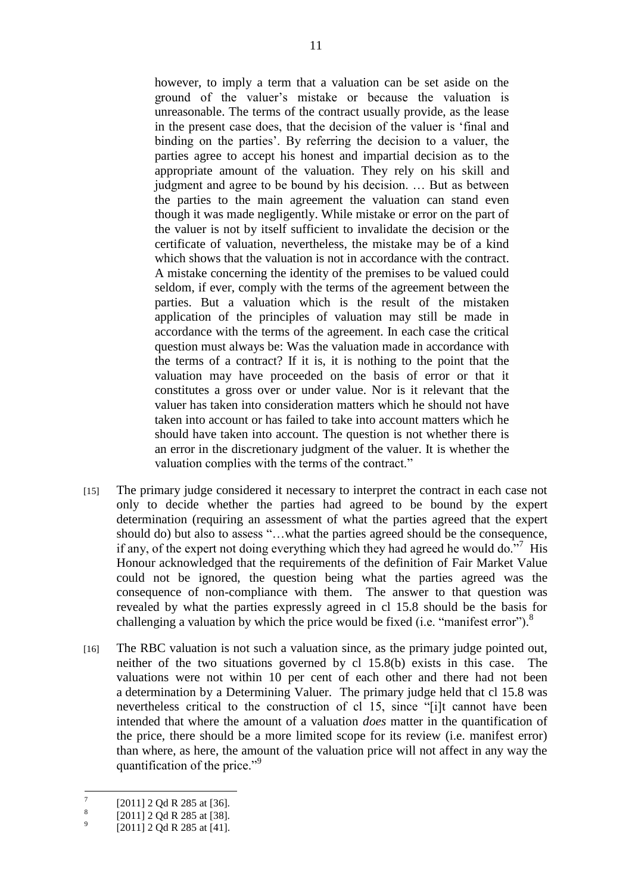however, to imply a term that a valuation can be set aside on the ground of the valuer"s mistake or because the valuation is unreasonable. The terms of the contract usually provide, as the lease in the present case does, that the decision of the valuer is "final and binding on the parties'. By referring the decision to a valuer, the parties agree to accept his honest and impartial decision as to the appropriate amount of the valuation. They rely on his skill and judgment and agree to be bound by his decision. … But as between the parties to the main agreement the valuation can stand even though it was made negligently. While mistake or error on the part of the valuer is not by itself sufficient to invalidate the decision or the certificate of valuation, nevertheless, the mistake may be of a kind which shows that the valuation is not in accordance with the contract. A mistake concerning the identity of the premises to be valued could seldom, if ever, comply with the terms of the agreement between the parties. But a valuation which is the result of the mistaken application of the principles of valuation may still be made in accordance with the terms of the agreement. In each case the critical question must always be: Was the valuation made in accordance with the terms of a contract? If it is, it is nothing to the point that the valuation may have proceeded on the basis of error or that it constitutes a gross over or under value. Nor is it relevant that the valuer has taken into consideration matters which he should not have taken into account or has failed to take into account matters which he should have taken into account. The question is not whether there is an error in the discretionary judgment of the valuer. It is whether the valuation complies with the terms of the contract."

- [15] The primary judge considered it necessary to interpret the contract in each case not only to decide whether the parties had agreed to be bound by the expert determination (requiring an assessment of what the parties agreed that the expert should do) but also to assess "…what the parties agreed should be the consequence, if any, of the expert not doing everything which they had agreed he would do."<sup>7</sup> His Honour acknowledged that the requirements of the definition of Fair Market Value could not be ignored, the question being what the parties agreed was the consequence of non-compliance with them. The answer to that question was revealed by what the parties expressly agreed in cl 15.8 should be the basis for challenging a valuation by which the price would be fixed (i.e. "manifest error").<sup>8</sup>
- [16] The RBC valuation is not such a valuation since, as the primary judge pointed out, neither of the two situations governed by cl 15.8(b) exists in this case. The valuations were not within 10 per cent of each other and there had not been a determination by a Determining Valuer. The primary judge held that cl 15.8 was nevertheless critical to the construction of cl 15, since "[i]t cannot have been intended that where the amount of a valuation *does* matter in the quantification of the price, there should be a more limited scope for its review (i.e. manifest error) than where, as here, the amount of the valuation price will not affect in any way the quantification of the price."<sup>9</sup>

<sup>—&</sup>lt;br>7 [2011] 2 Qd R 285 at [36].

<sup>8</sup> [2011] 2 Qd R 285 at [38].

<sup>9</sup> [2011] 2 Qd R 285 at [41].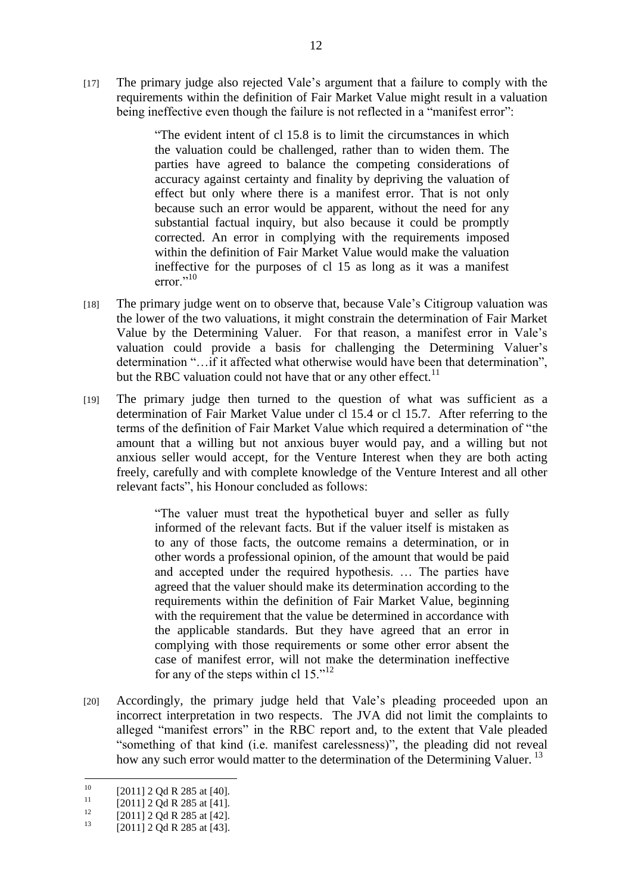[17] The primary judge also rejected Vale"s argument that a failure to comply with the requirements within the definition of Fair Market Value might result in a valuation being ineffective even though the failure is not reflected in a "manifest error":

> "The evident intent of cl 15.8 is to limit the circumstances in which the valuation could be challenged, rather than to widen them. The parties have agreed to balance the competing considerations of accuracy against certainty and finality by depriving the valuation of effect but only where there is a manifest error. That is not only because such an error would be apparent, without the need for any substantial factual inquiry, but also because it could be promptly corrected. An error in complying with the requirements imposed within the definition of Fair Market Value would make the valuation ineffective for the purposes of cl 15 as long as it was a manifest error $^{,10}$

- [18] The primary judge went on to observe that, because Vale's Citigroup valuation was the lower of the two valuations, it might constrain the determination of Fair Market Value by the Determining Valuer. For that reason, a manifest error in Vale"s valuation could provide a basis for challenging the Determining Valuer's determination "…if it affected what otherwise would have been that determination", but the RBC valuation could not have that or any other effect.<sup>11</sup>
- [19] The primary judge then turned to the question of what was sufficient as a determination of Fair Market Value under cl 15.4 or cl 15.7. After referring to the terms of the definition of Fair Market Value which required a determination of "the amount that a willing but not anxious buyer would pay, and a willing but not anxious seller would accept, for the Venture Interest when they are both acting freely, carefully and with complete knowledge of the Venture Interest and all other relevant facts", his Honour concluded as follows:

"The valuer must treat the hypothetical buyer and seller as fully informed of the relevant facts. But if the valuer itself is mistaken as to any of those facts, the outcome remains a determination, or in other words a professional opinion, of the amount that would be paid and accepted under the required hypothesis. … The parties have agreed that the valuer should make its determination according to the requirements within the definition of Fair Market Value, beginning with the requirement that the value be determined in accordance with the applicable standards. But they have agreed that an error in complying with those requirements or some other error absent the case of manifest error, will not make the determination ineffective for any of the steps within cl  $15.^{12}$ .

[20] Accordingly, the primary judge held that Vale's pleading proceeded upon an incorrect interpretation in two respects. The JVA did not limit the complaints to alleged "manifest errors" in the RBC report and, to the extent that Vale pleaded "something of that kind (i.e. manifest carelessness)", the pleading did not reveal how any such error would matter to the determination of the Determining Valuer.<sup>13</sup>

 $10<sup>10</sup>$  $^{10}$  [2011] 2 Qd R 285 at [40].

 $^{11}$  [2011] 2 Qd R 285 at [41].

<sup>&</sup>lt;sup>12</sup> [2011] 2 Qd R 285 at [42].

<sup>[2011] 2</sup> Qd R 285 at [43].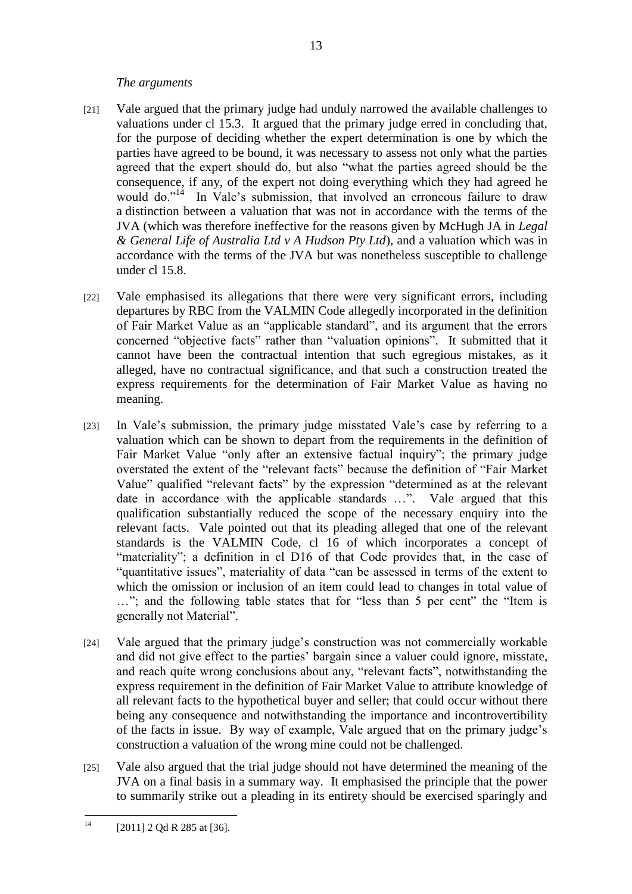#### *The arguments*

- [21] Vale argued that the primary judge had unduly narrowed the available challenges to valuations under cl 15.3. It argued that the primary judge erred in concluding that, for the purpose of deciding whether the expert determination is one by which the parties have agreed to be bound, it was necessary to assess not only what the parties agreed that the expert should do, but also "what the parties agreed should be the consequence, if any, of the expert not doing everything which they had agreed he would do."<sup>14</sup> In Vale's submission, that involved an erroneous failure to draw a distinction between a valuation that was not in accordance with the terms of the JVA (which was therefore ineffective for the reasons given by McHugh JA in *Legal & General Life of Australia Ltd v A Hudson Pty Ltd*), and a valuation which was in accordance with the terms of the JVA but was nonetheless susceptible to challenge under cl 15.8.
- [22] Vale emphasised its allegations that there were very significant errors, including departures by RBC from the VALMIN Code allegedly incorporated in the definition of Fair Market Value as an "applicable standard", and its argument that the errors concerned "objective facts" rather than "valuation opinions". It submitted that it cannot have been the contractual intention that such egregious mistakes, as it alleged, have no contractual significance, and that such a construction treated the express requirements for the determination of Fair Market Value as having no meaning.
- [23] In Vale's submission, the primary judge misstated Vale's case by referring to a valuation which can be shown to depart from the requirements in the definition of Fair Market Value "only after an extensive factual inquiry"; the primary judge overstated the extent of the "relevant facts" because the definition of "Fair Market Value" qualified "relevant facts" by the expression "determined as at the relevant date in accordance with the applicable standards …". Vale argued that this qualification substantially reduced the scope of the necessary enquiry into the relevant facts. Vale pointed out that its pleading alleged that one of the relevant standards is the VALMIN Code, cl 16 of which incorporates a concept of "materiality"; a definition in cl D16 of that Code provides that, in the case of "quantitative issues", materiality of data "can be assessed in terms of the extent to which the omission or inclusion of an item could lead to changes in total value of …"; and the following table states that for "less than 5 per cent" the "Item is generally not Material".
- [24] Vale argued that the primary judge"s construction was not commercially workable and did not give effect to the parties" bargain since a valuer could ignore, misstate, and reach quite wrong conclusions about any, "relevant facts", notwithstanding the express requirement in the definition of Fair Market Value to attribute knowledge of all relevant facts to the hypothetical buyer and seller; that could occur without there being any consequence and notwithstanding the importance and incontrovertibility of the facts in issue. By way of example, Vale argued that on the primary judge"s construction a valuation of the wrong mine could not be challenged.
- [25] Vale also argued that the trial judge should not have determined the meaning of the JVA on a final basis in a summary way. It emphasised the principle that the power to summarily strike out a pleading in its entirety should be exercised sparingly and

13

 $14$ [2011] 2 Qd R 285 at [36].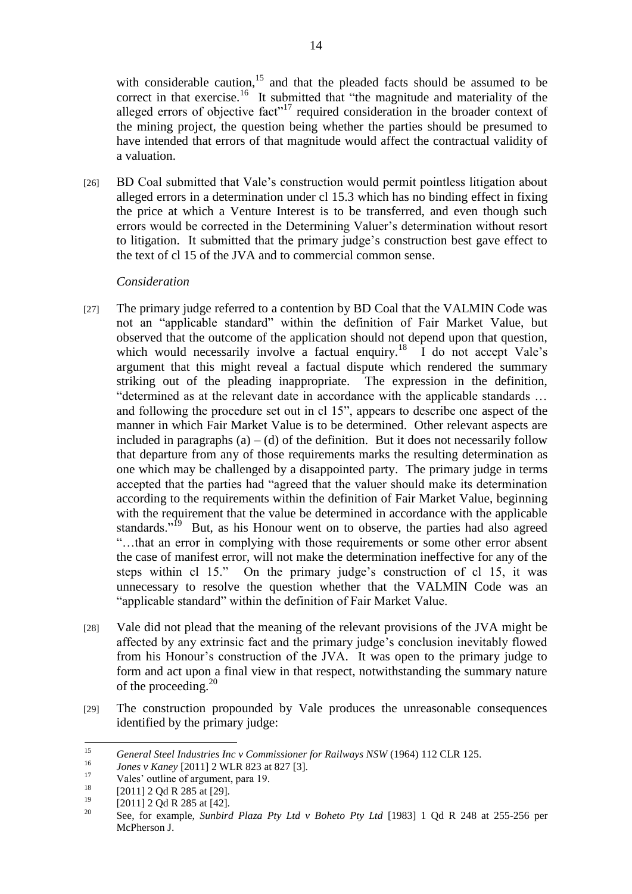with considerable caution,  $15$  and that the pleaded facts should be assumed to be correct in that exercise.<sup>16</sup> It submitted that "the magnitude and materiality of the alleged errors of objective fact"<sup>17</sup> required consideration in the broader context of the mining project, the question being whether the parties should be presumed to have intended that errors of that magnitude would affect the contractual validity of a valuation.

[26] BD Coal submitted that Vale"s construction would permit pointless litigation about alleged errors in a determination under cl 15.3 which has no binding effect in fixing the price at which a Venture Interest is to be transferred, and even though such errors would be corrected in the Determining Valuer"s determination without resort to litigation. It submitted that the primary judge"s construction best gave effect to the text of cl 15 of the JVA and to commercial common sense.

## *Consideration*

- [27] The primary judge referred to a contention by BD Coal that the VALMIN Code was not an "applicable standard" within the definition of Fair Market Value, but observed that the outcome of the application should not depend upon that question, which would necessarily involve a factual enquiry.<sup>18</sup> I do not accept Vale's argument that this might reveal a factual dispute which rendered the summary striking out of the pleading inappropriate. The expression in the definition, "determined as at the relevant date in accordance with the applicable standards … and following the procedure set out in cl 15", appears to describe one aspect of the manner in which Fair Market Value is to be determined. Other relevant aspects are included in paragraphs  $(a) - (d)$  of the definition. But it does not necessarily follow that departure from any of those requirements marks the resulting determination as one which may be challenged by a disappointed party. The primary judge in terms accepted that the parties had "agreed that the valuer should make its determination according to the requirements within the definition of Fair Market Value, beginning with the requirement that the value be determined in accordance with the applicable standards."<sup>19</sup> But, as his Honour went on to observe, the parties had also agreed "…that an error in complying with those requirements or some other error absent the case of manifest error, will not make the determination ineffective for any of the steps within cl 15." On the primary judge's construction of cl 15, it was unnecessary to resolve the question whether that the VALMIN Code was an "applicable standard" within the definition of Fair Market Value.
- [28] Vale did not plead that the meaning of the relevant provisions of the JVA might be affected by any extrinsic fact and the primary judge"s conclusion inevitably flowed from his Honour's construction of the JVA. It was open to the primary judge to form and act upon a final view in that respect, notwithstanding the summary nature of the proceeding.<sup>20</sup>
- [29] The construction propounded by Vale produces the unreasonable consequences identified by the primary judge:

<sup>15</sup> <sup>15</sup> *General Steel Industries Inc v Commissioner for Railways NSW* (1964) 112 CLR 125.

<sup>1&</sup>lt;sup>6</sup> *Jones v Kaney* [2011] 2 WLR 823 at 827 [3].

 $\frac{17}{18}$  Vales' outline of argument, para 19.

<sup>&</sup>lt;sup>18</sup> [2011] 2 Qd R 285 at [29].

 $^{19}$  [2011] 2 Qd R 285 at [42].

<sup>20</sup> See, for example, *Sunbird Plaza Pty Ltd v Boheto Pty Ltd* [1983] 1 Qd R 248 at 255-256 per McPherson J.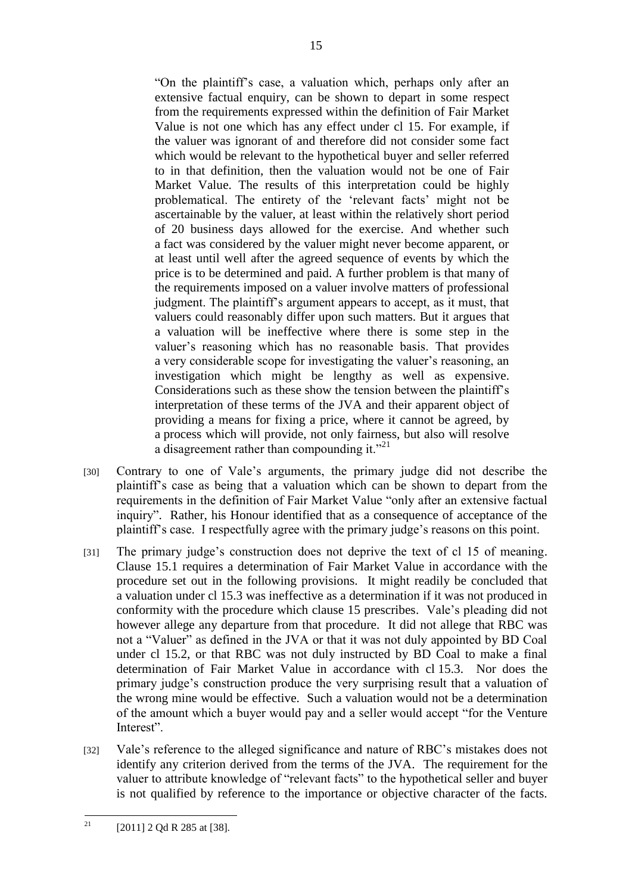"On the plaintiff"s case, a valuation which, perhaps only after an extensive factual enquiry, can be shown to depart in some respect from the requirements expressed within the definition of Fair Market Value is not one which has any effect under cl 15. For example, if the valuer was ignorant of and therefore did not consider some fact which would be relevant to the hypothetical buyer and seller referred to in that definition, then the valuation would not be one of Fair Market Value. The results of this interpretation could be highly problematical. The entirety of the "relevant facts" might not be ascertainable by the valuer, at least within the relatively short period of 20 business days allowed for the exercise. And whether such a fact was considered by the valuer might never become apparent, or at least until well after the agreed sequence of events by which the price is to be determined and paid. A further problem is that many of the requirements imposed on a valuer involve matters of professional judgment. The plaintiff's argument appears to accept, as it must, that valuers could reasonably differ upon such matters. But it argues that a valuation will be ineffective where there is some step in the valuer"s reasoning which has no reasonable basis. That provides a very considerable scope for investigating the valuer's reasoning, an investigation which might be lengthy as well as expensive. Considerations such as these show the tension between the plaintiff"s interpretation of these terms of the JVA and their apparent object of providing a means for fixing a price, where it cannot be agreed, by a process which will provide, not only fairness, but also will resolve a disagreement rather than compounding it."<sup>21</sup>

- [30] Contrary to one of Vale's arguments, the primary judge did not describe the plaintiff"s case as being that a valuation which can be shown to depart from the requirements in the definition of Fair Market Value "only after an extensive factual inquiry". Rather, his Honour identified that as a consequence of acceptance of the plaintiff"s case. I respectfully agree with the primary judge"s reasons on this point.
- [31] The primary judge's construction does not deprive the text of cl 15 of meaning. Clause 15.1 requires a determination of Fair Market Value in accordance with the procedure set out in the following provisions. It might readily be concluded that a valuation under cl 15.3 was ineffective as a determination if it was not produced in conformity with the procedure which clause 15 prescribes. Vale"s pleading did not however allege any departure from that procedure. It did not allege that RBC was not a "Valuer" as defined in the JVA or that it was not duly appointed by BD Coal under cl 15.2, or that RBC was not duly instructed by BD Coal to make a final determination of Fair Market Value in accordance with cl 15.3. Nor does the primary judge"s construction produce the very surprising result that a valuation of the wrong mine would be effective. Such a valuation would not be a determination of the amount which a buyer would pay and a seller would accept "for the Venture Interest".
- [32] Vale's reference to the alleged significance and nature of RBC's mistakes does not identify any criterion derived from the terms of the JVA. The requirement for the valuer to attribute knowledge of "relevant facts" to the hypothetical seller and buyer is not qualified by reference to the importance or objective character of the facts.

 $21$ [2011] 2 Qd R 285 at [38].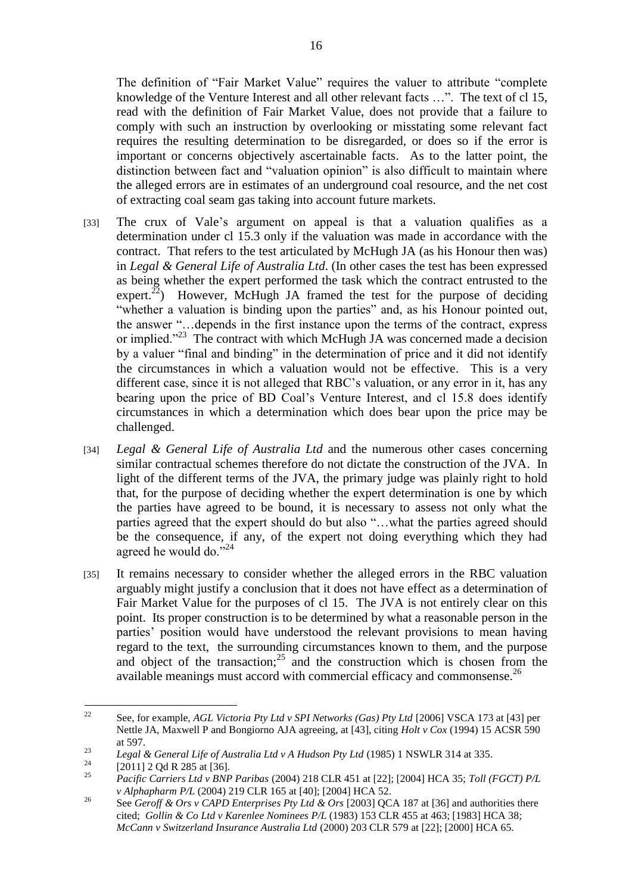The definition of "Fair Market Value" requires the valuer to attribute "complete knowledge of the Venture Interest and all other relevant facts …". The text of cl 15, read with the definition of Fair Market Value, does not provide that a failure to comply with such an instruction by overlooking or misstating some relevant fact requires the resulting determination to be disregarded, or does so if the error is important or concerns objectively ascertainable facts. As to the latter point, the distinction between fact and "valuation opinion" is also difficult to maintain where the alleged errors are in estimates of an underground coal resource, and the net cost of extracting coal seam gas taking into account future markets.

- [33] The crux of Vale's argument on appeal is that a valuation qualifies as a determination under cl 15.3 only if the valuation was made in accordance with the contract. That refers to the test articulated by McHugh JA (as his Honour then was) in *Legal & General Life of Australia Ltd*. (In other cases the test has been expressed as being whether the expert performed the task which the contract entrusted to the expert.<sup>22</sup>) However, McHugh JA framed the test for the purpose of deciding "whether a valuation is binding upon the parties" and, as his Honour pointed out, the answer "…depends in the first instance upon the terms of the contract, express or implied."<sup>23</sup> The contract with which McHugh JA was concerned made a decision by a valuer "final and binding" in the determination of price and it did not identify the circumstances in which a valuation would not be effective. This is a very different case, since it is not alleged that RBC"s valuation, or any error in it, has any bearing upon the price of BD Coal"s Venture Interest, and cl 15.8 does identify circumstances in which a determination which does bear upon the price may be challenged.
- [34] *Legal & General Life of Australia Ltd* and the numerous other cases concerning similar contractual schemes therefore do not dictate the construction of the JVA. In light of the different terms of the JVA, the primary judge was plainly right to hold that, for the purpose of deciding whether the expert determination is one by which the parties have agreed to be bound, it is necessary to assess not only what the parties agreed that the expert should do but also "…what the parties agreed should be the consequence, if any, of the expert not doing everything which they had agreed he would do."<sup>24</sup>
- [35] It remains necessary to consider whether the alleged errors in the RBC valuation arguably might justify a conclusion that it does not have effect as a determination of Fair Market Value for the purposes of cl 15. The JVA is not entirely clear on this point. Its proper construction is to be determined by what a reasonable person in the parties" position would have understood the relevant provisions to mean having regard to the text, the surrounding circumstances known to them, and the purpose and object of the transaction;<sup>25</sup> and the construction which is chosen from the available meanings must accord with commercial efficacy and commonsense.<sup>26</sup>

 $22$ <sup>22</sup> See, for example, *AGL Victoria Pty Ltd v SPI Networks (Gas) Pty Ltd* [2006] VSCA 173 at [43] per Nettle JA, Maxwell P and Bongiorno AJA agreeing, at [43], citing *Holt v Cox* (1994) 15 ACSR 590 at 597.

<sup>23</sup> *Legal & General Life of Australia Ltd v A Hudson Pty Ltd* (1985) 1 NSWLR 314 at 335.

<sup>&</sup>lt;sup>24</sup> [2011] 2 Qd R 285 at [36].

<sup>25</sup> *Pacific Carriers Ltd v BNP Paribas* (2004) 218 CLR 451 at [22]; [2004] HCA 35; *Toll (FGCT) P/L v Alphapharm P/L* (2004) 219 CLR 165 at [40]; [2004] HCA 52.

<sup>&</sup>lt;sup>26</sup> See *Geroff & Ors v CAPD Enterprises Pty Ltd & Ors* [2003] QCA 187 at [36] and authorities there cited; *Gollin & Co Ltd v Karenlee Nominees P/L* (1983) 153 CLR 455 at 463; [1983] HCA 38; *McCann v Switzerland Insurance Australia Ltd* (2000) 203 CLR 579 at [22]; [2000] HCA 65.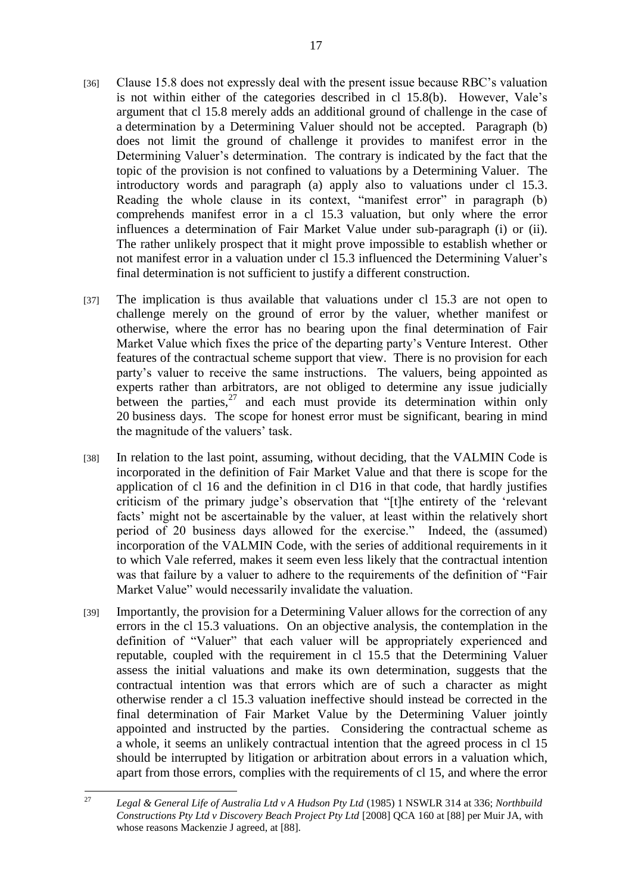- [36] Clause 15.8 does not expressly deal with the present issue because RBC"s valuation is not within either of the categories described in cl 15.8(b). However, Vale"s argument that cl 15.8 merely adds an additional ground of challenge in the case of a determination by a Determining Valuer should not be accepted. Paragraph (b) does not limit the ground of challenge it provides to manifest error in the Determining Valuer's determination. The contrary is indicated by the fact that the topic of the provision is not confined to valuations by a Determining Valuer. The introductory words and paragraph (a) apply also to valuations under cl 15.3. Reading the whole clause in its context, "manifest error" in paragraph (b) comprehends manifest error in a cl 15.3 valuation, but only where the error influences a determination of Fair Market Value under sub-paragraph (i) or (ii). The rather unlikely prospect that it might prove impossible to establish whether or not manifest error in a valuation under cl 15.3 influenced the Determining Valuer"s final determination is not sufficient to justify a different construction.
- [37] The implication is thus available that valuations under cl 15.3 are not open to challenge merely on the ground of error by the valuer, whether manifest or otherwise, where the error has no bearing upon the final determination of Fair Market Value which fixes the price of the departing party"s Venture Interest. Other features of the contractual scheme support that view. There is no provision for each party"s valuer to receive the same instructions. The valuers, being appointed as experts rather than arbitrators, are not obliged to determine any issue judicially between the parties, $27$  and each must provide its determination within only 20 business days. The scope for honest error must be significant, bearing in mind the magnitude of the valuers' task.
- [38] In relation to the last point, assuming, without deciding, that the VALMIN Code is incorporated in the definition of Fair Market Value and that there is scope for the application of cl 16 and the definition in cl D16 in that code, that hardly justifies criticism of the primary judge"s observation that "[t]he entirety of the "relevant facts' might not be ascertainable by the valuer, at least within the relatively short period of 20 business days allowed for the exercise." Indeed, the (assumed) incorporation of the VALMIN Code, with the series of additional requirements in it to which Vale referred, makes it seem even less likely that the contractual intention was that failure by a valuer to adhere to the requirements of the definition of "Fair Market Value" would necessarily invalidate the valuation.
- [39] Importantly, the provision for a Determining Valuer allows for the correction of any errors in the cl 15.3 valuations. On an objective analysis, the contemplation in the definition of "Valuer" that each valuer will be appropriately experienced and reputable, coupled with the requirement in cl 15.5 that the Determining Valuer assess the initial valuations and make its own determination, suggests that the contractual intention was that errors which are of such a character as might otherwise render a cl 15.3 valuation ineffective should instead be corrected in the final determination of Fair Market Value by the Determining Valuer jointly appointed and instructed by the parties. Considering the contractual scheme as a whole, it seems an unlikely contractual intention that the agreed process in cl 15 should be interrupted by litigation or arbitration about errors in a valuation which, apart from those errors, complies with the requirements of cl 15, and where the error

 $27$ <sup>27</sup> *Legal & General Life of Australia Ltd v A Hudson Pty Ltd* (1985) 1 NSWLR 314 at 336; *Northbuild Constructions Pty Ltd v Discovery Beach Project Pty Ltd* [2008] QCA 160 at [88] per Muir JA, with whose reasons Mackenzie J agreed, at [88].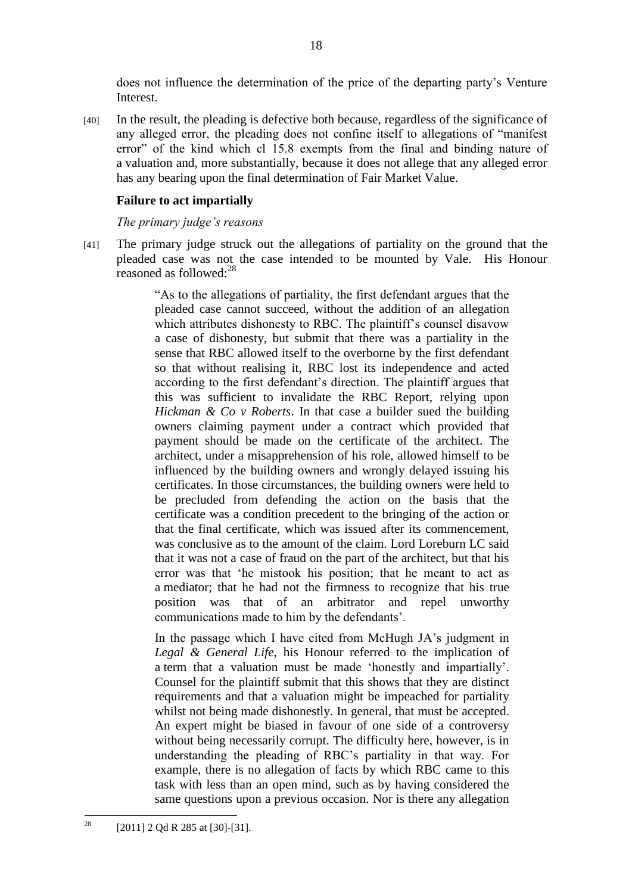does not influence the determination of the price of the departing party"s Venture Interest.

[40] In the result, the pleading is defective both because, regardless of the significance of any alleged error, the pleading does not confine itself to allegations of "manifest error" of the kind which cl 15.8 exempts from the final and binding nature of a valuation and, more substantially, because it does not allege that any alleged error has any bearing upon the final determination of Fair Market Value.

## **Failure to act impartially**

*The primary judge's reasons*

[41] The primary judge struck out the allegations of partiality on the ground that the pleaded case was not the case intended to be mounted by Vale. His Honour reasoned as followed:<sup>28</sup>

> "As to the allegations of partiality, the first defendant argues that the pleaded case cannot succeed, without the addition of an allegation which attributes dishonesty to RBC. The plaintiff's counsel disavow a case of dishonesty, but submit that there was a partiality in the sense that RBC allowed itself to the overborne by the first defendant so that without realising it, RBC lost its independence and acted according to the first defendant"s direction. The plaintiff argues that this was sufficient to invalidate the RBC Report, relying upon *Hickman & Co v Roberts*. In that case a builder sued the building owners claiming payment under a contract which provided that payment should be made on the certificate of the architect. The architect, under a misapprehension of his role, allowed himself to be influenced by the building owners and wrongly delayed issuing his certificates. In those circumstances, the building owners were held to be precluded from defending the action on the basis that the certificate was a condition precedent to the bringing of the action or that the final certificate, which was issued after its commencement, was conclusive as to the amount of the claim. Lord Loreburn LC said that it was not a case of fraud on the part of the architect, but that his error was that "he mistook his position; that he meant to act as a mediator; that he had not the firmness to recognize that his true position was that of an arbitrator and repel unworthy communications made to him by the defendants".

> In the passage which I have cited from McHugh JA"s judgment in *Legal & General Life*, his Honour referred to the implication of a term that a valuation must be made "honestly and impartially". Counsel for the plaintiff submit that this shows that they are distinct requirements and that a valuation might be impeached for partiality whilst not being made dishonestly. In general, that must be accepted. An expert might be biased in favour of one side of a controversy without being necessarily corrupt. The difficulty here, however, is in understanding the pleading of RBC"s partiality in that way. For example, there is no allegation of facts by which RBC came to this task with less than an open mind, such as by having considered the same questions upon a previous occasion. Nor is there any allegation

 $28$ [2011] 2 Qd R 285 at [30]-[31].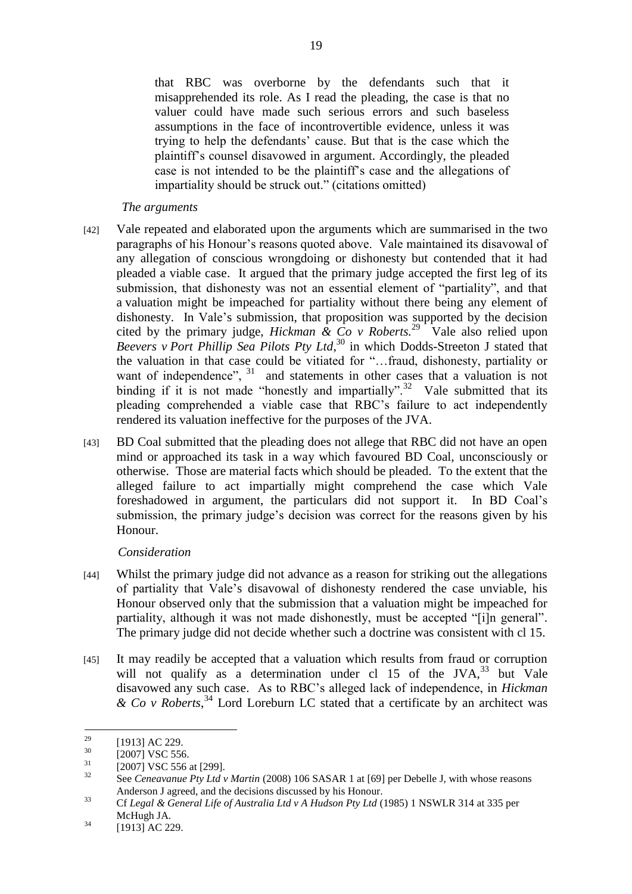that RBC was overborne by the defendants such that it misapprehended its role. As I read the pleading, the case is that no valuer could have made such serious errors and such baseless assumptions in the face of incontrovertible evidence, unless it was trying to help the defendants" cause. But that is the case which the plaintiff"s counsel disavowed in argument. Accordingly, the pleaded case is not intended to be the plaintiff"s case and the allegations of impartiality should be struck out." (citations omitted)

#### *The arguments*

- [42] Vale repeated and elaborated upon the arguments which are summarised in the two paragraphs of his Honour"s reasons quoted above. Vale maintained its disavowal of any allegation of conscious wrongdoing or dishonesty but contended that it had pleaded a viable case. It argued that the primary judge accepted the first leg of its submission, that dishonesty was not an essential element of "partiality", and that a valuation might be impeached for partiality without there being any element of dishonesty. In Vale"s submission, that proposition was supported by the decision cited by the primary judge, *Hickman*  $\&$  *Co*  $v$  *Roberts.*<sup>29</sup> Vale also relied upon *Beevers v Port Phillip Sea Pilots Pty Ltd*, <sup>30</sup> in which Dodds-Streeton J stated that the valuation in that case could be vitiated for "…fraud, dishonesty, partiality or want of independence", <sup>31</sup> and statements in other cases that a valuation is not binding if it is not made "honestly and impartially".<sup>32</sup> Vale submitted that its pleading comprehended a viable case that RBC"s failure to act independently rendered its valuation ineffective for the purposes of the JVA.
- [43] BD Coal submitted that the pleading does not allege that RBC did not have an open mind or approached its task in a way which favoured BD Coal, unconsciously or otherwise. Those are material facts which should be pleaded. To the extent that the alleged failure to act impartially might comprehend the case which Vale foreshadowed in argument, the particulars did not support it. In BD Coal"s submission, the primary judge"s decision was correct for the reasons given by his Honour.

## *Consideration*

- [44] Whilst the primary judge did not advance as a reason for striking out the allegations of partiality that Vale"s disavowal of dishonesty rendered the case unviable, his Honour observed only that the submission that a valuation might be impeached for partiality, although it was not made dishonestly, must be accepted "[i]n general". The primary judge did not decide whether such a doctrine was consistent with cl 15.
- [45] It may readily be accepted that a valuation which results from fraud or corruption will not qualify as a determination under cl 15 of the JVA, $^{33}$  but Vale disavowed any such case. As to RBC"s alleged lack of independence, in *Hickman & Co v Roberts*, <sup>34</sup> Lord Loreburn LC stated that a certificate by an architect was

<sup>33</sup> Cf *Legal & General Life of Australia Ltd v A Hudson Pty Ltd* (1985) 1 NSWLR 314 at 335 per McHugh JA.

<sup>29</sup>  $^{29}$  [1913] AC 229.

 $\frac{30}{31}$  [2007] VSC 556.

 $\frac{31}{32}$  [2007] VSC 556 at [299].

See *Ceneavanue Pty Ltd v Martin* (2008) 106 SASAR 1 at [69] per Debelle J, with whose reasons Anderson J agreed, and the decisions discussed by his Honour.

 $^{34}$  [1913] AC 229.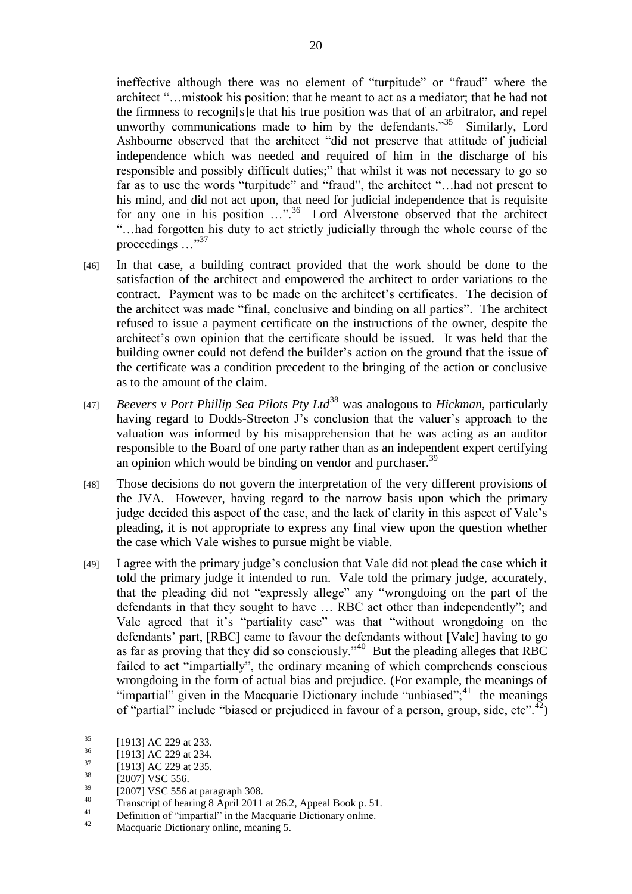ineffective although there was no element of "turpitude" or "fraud" where the architect "…mistook his position; that he meant to act as a mediator; that he had not the firmness to recogni[s]e that his true position was that of an arbitrator, and repel unworthy communications made to him by the defendants." $35$  Similarly, Lord Ashbourne observed that the architect "did not preserve that attitude of judicial independence which was needed and required of him in the discharge of his responsible and possibly difficult duties;" that whilst it was not necessary to go so far as to use the words "turpitude" and "fraud", the architect "...had not present to his mind, and did not act upon, that need for judicial independence that is requisite for any one in his position ...".<sup>36</sup> Lord Alverstone observed that the architect "…had forgotten his duty to act strictly judicially through the whole course of the proceedings ..."<sup>37</sup>

- [46] In that case, a building contract provided that the work should be done to the satisfaction of the architect and empowered the architect to order variations to the contract. Payment was to be made on the architect"s certificates. The decision of the architect was made "final, conclusive and binding on all parties". The architect refused to issue a payment certificate on the instructions of the owner, despite the architect"s own opinion that the certificate should be issued. It was held that the building owner could not defend the builder"s action on the ground that the issue of the certificate was a condition precedent to the bringing of the action or conclusive as to the amount of the claim.
- [47] *Beevers v Port Phillip Sea Pilots Pty Ltd*<sup>38</sup> was analogous to *Hickman*, particularly having regard to Dodds-Streeton J's conclusion that the valuer's approach to the valuation was informed by his misapprehension that he was acting as an auditor responsible to the Board of one party rather than as an independent expert certifying an opinion which would be binding on vendor and purchaser.<sup>39</sup>
- [48] Those decisions do not govern the interpretation of the very different provisions of the JVA. However, having regard to the narrow basis upon which the primary judge decided this aspect of the case, and the lack of clarity in this aspect of Vale"s pleading, it is not appropriate to express any final view upon the question whether the case which Vale wishes to pursue might be viable.
- [49] I agree with the primary judge"s conclusion that Vale did not plead the case which it told the primary judge it intended to run. Vale told the primary judge, accurately, that the pleading did not "expressly allege" any "wrongdoing on the part of the defendants in that they sought to have … RBC act other than independently"; and Vale agreed that it's "partiality case" was that "without wrongdoing on the defendants' part, [RBC] came to favour the defendants without [Vale] having to go as far as proving that they did so consciously."<sup>40</sup> But the pleading alleges that RBC failed to act "impartially", the ordinary meaning of which comprehends conscious wrongdoing in the form of actual bias and prejudice. (For example, the meanings of "impartial" given in the Macquarie Dictionary include "unbiased";<sup>41</sup> the meanings of "partial" include "biased or prejudiced in favour of a person, group, side, etc".<sup>42</sup>)

 $^{39}$  [2007] VSC 556 at paragraph 308.

Macquarie Dictionary online, meaning 5.

<sup>35</sup>  $\frac{35}{36}$  [1913] AC 229 at 233.

 $^{36}$  [1913] AC 229 at 234.

 $\frac{37}{38}$  [1913] AC 229 at 235.

 $\frac{38}{39}$  [2007] VSC 556.

<sup>&</sup>lt;sup>40</sup> Transcript of hearing 8 April 2011 at 26.2, Appeal Book p. 51.

 $^{41}$  Definition of "impartial" in the Macquarie Dictionary online.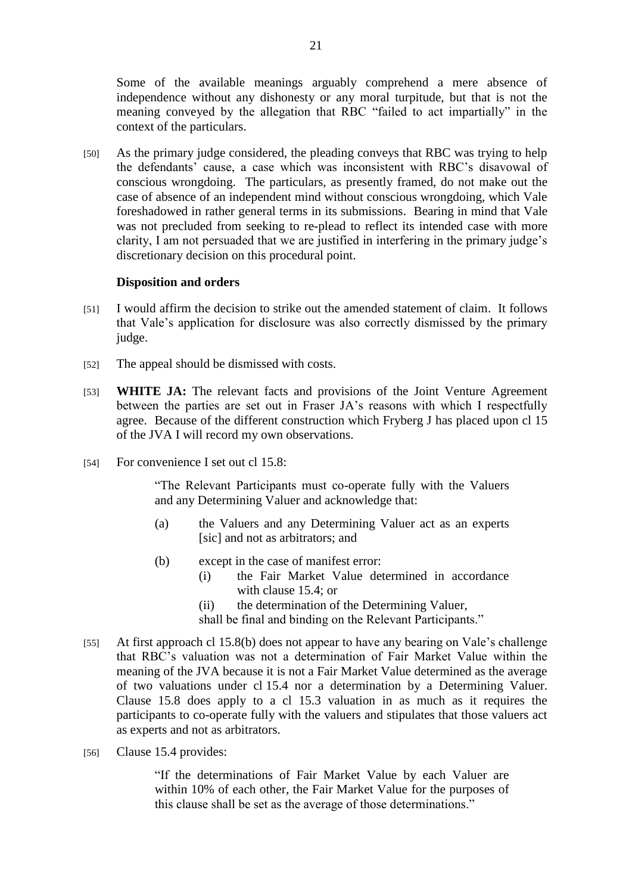Some of the available meanings arguably comprehend a mere absence of independence without any dishonesty or any moral turpitude, but that is not the meaning conveyed by the allegation that RBC "failed to act impartially" in the context of the particulars.

[50] As the primary judge considered, the pleading conveys that RBC was trying to help the defendants' cause, a case which was inconsistent with RBC's disavowal of conscious wrongdoing. The particulars, as presently framed, do not make out the case of absence of an independent mind without conscious wrongdoing, which Vale foreshadowed in rather general terms in its submissions. Bearing in mind that Vale was not precluded from seeking to re-plead to reflect its intended case with more clarity, I am not persuaded that we are justified in interfering in the primary judge"s discretionary decision on this procedural point.

## **Disposition and orders**

- [51] I would affirm the decision to strike out the amended statement of claim. It follows that Vale"s application for disclosure was also correctly dismissed by the primary judge.
- [52] The appeal should be dismissed with costs.
- [53] **WHITE JA:** The relevant facts and provisions of the Joint Venture Agreement between the parties are set out in Fraser JA"s reasons with which I respectfully agree. Because of the different construction which Fryberg J has placed upon cl 15 of the JVA I will record my own observations.
- [54] For convenience I set out cl 15.8:

"The Relevant Participants must co-operate fully with the Valuers and any Determining Valuer and acknowledge that:

- (a) the Valuers and any Determining Valuer act as an experts [sic] and not as arbitrators; and
- (b) except in the case of manifest error:
	- (i) the Fair Market Value determined in accordance with clause 15.4; or
	- (ii) the determination of the Determining Valuer,

shall be final and binding on the Relevant Participants."

- [55] At first approach cl 15.8(b) does not appear to have any bearing on Vale's challenge that RBC"s valuation was not a determination of Fair Market Value within the meaning of the JVA because it is not a Fair Market Value determined as the average of two valuations under cl 15.4 nor a determination by a Determining Valuer. Clause 15.8 does apply to a cl 15.3 valuation in as much as it requires the participants to co-operate fully with the valuers and stipulates that those valuers act as experts and not as arbitrators.
- [56] Clause 15.4 provides:

"If the determinations of Fair Market Value by each Valuer are within 10% of each other, the Fair Market Value for the purposes of this clause shall be set as the average of those determinations."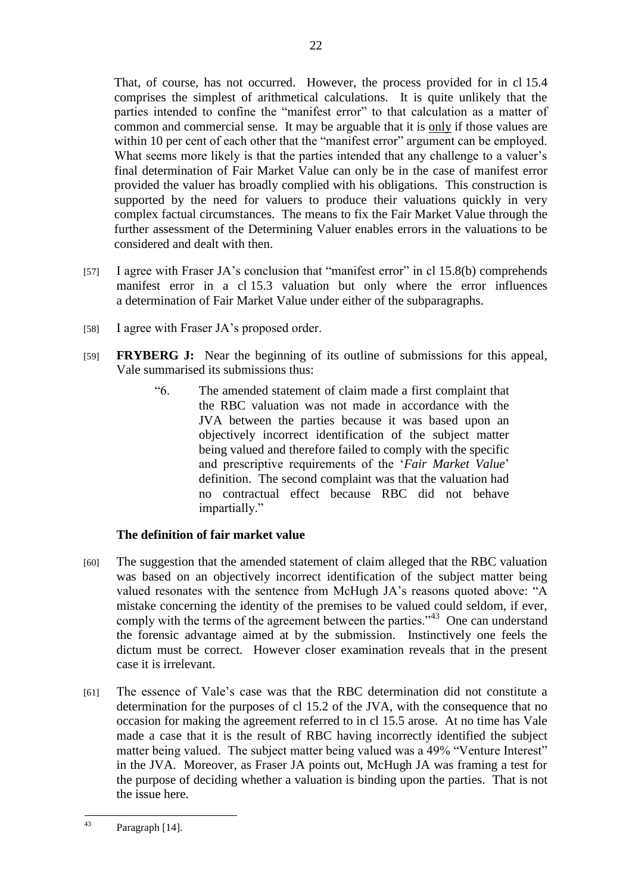That, of course, has not occurred. However, the process provided for in cl 15.4 comprises the simplest of arithmetical calculations. It is quite unlikely that the parties intended to confine the "manifest error" to that calculation as a matter of common and commercial sense. It may be arguable that it is only if those values are within 10 per cent of each other that the "manifest error" argument can be employed. What seems more likely is that the parties intended that any challenge to a valuer's final determination of Fair Market Value can only be in the case of manifest error provided the valuer has broadly complied with his obligations. This construction is supported by the need for valuers to produce their valuations quickly in very complex factual circumstances. The means to fix the Fair Market Value through the further assessment of the Determining Valuer enables errors in the valuations to be considered and dealt with then.

- [57] I agree with Fraser JA's conclusion that "manifest error" in cl 15.8(b) comprehends manifest error in a cl 15.3 valuation but only where the error influences a determination of Fair Market Value under either of the subparagraphs.
- [58] I agree with Fraser JA's proposed order.
- [59] **FRYBERG J:** Near the beginning of its outline of submissions for this appeal, Vale summarised its submissions thus:
	- "6. The amended statement of claim made a first complaint that the RBC valuation was not made in accordance with the JVA between the parties because it was based upon an objectively incorrect identification of the subject matter being valued and therefore failed to comply with the specific and prescriptive requirements of the 'Fair Market Value' definition. The second complaint was that the valuation had no contractual effect because RBC did not behave impartially."

## **The definition of fair market value**

- [60] The suggestion that the amended statement of claim alleged that the RBC valuation was based on an objectively incorrect identification of the subject matter being valued resonates with the sentence from McHugh JA"s reasons quoted above: "A mistake concerning the identity of the premises to be valued could seldom, if ever, comply with the terms of the agreement between the parties."<sup>43</sup> One can understand the forensic advantage aimed at by the submission. Instinctively one feels the dictum must be correct. However closer examination reveals that in the present case it is irrelevant.
- [61] The essence of Vale"s case was that the RBC determination did not constitute a determination for the purposes of cl 15.2 of the JVA, with the consequence that no occasion for making the agreement referred to in cl 15.5 arose. At no time has Vale made a case that it is the result of RBC having incorrectly identified the subject matter being valued. The subject matter being valued was a 49% "Venture Interest" in the JVA. Moreover, as Fraser JA points out, McHugh JA was framing a test for the purpose of deciding whether a valuation is binding upon the parties. That is not the issue here.

 $43$ Paragraph [14].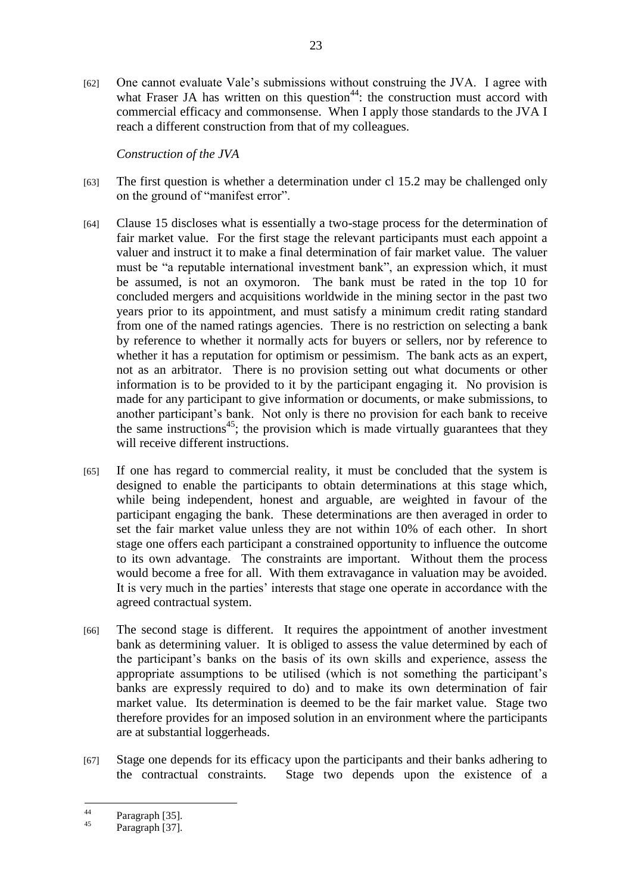[62] One cannot evaluate Vale"s submissions without construing the JVA. I agree with what Fraser JA has written on this question<sup>44</sup>: the construction must accord with commercial efficacy and commonsense. When I apply those standards to the JVA I reach a different construction from that of my colleagues.

*Construction of the JVA*

- [63] The first question is whether a determination under cl 15.2 may be challenged only on the ground of "manifest error".
- [64] Clause 15 discloses what is essentially a two-stage process for the determination of fair market value. For the first stage the relevant participants must each appoint a valuer and instruct it to make a final determination of fair market value. The valuer must be "a reputable international investment bank", an expression which, it must be assumed, is not an oxymoron. The bank must be rated in the top 10 for concluded mergers and acquisitions worldwide in the mining sector in the past two years prior to its appointment, and must satisfy a minimum credit rating standard from one of the named ratings agencies. There is no restriction on selecting a bank by reference to whether it normally acts for buyers or sellers, nor by reference to whether it has a reputation for optimism or pessimism. The bank acts as an expert, not as an arbitrator. There is no provision setting out what documents or other information is to be provided to it by the participant engaging it. No provision is made for any participant to give information or documents, or make submissions, to another participant"s bank. Not only is there no provision for each bank to receive the same instructions<sup>45</sup>; the provision which is made virtually guarantees that they will receive different instructions.
- [65] If one has regard to commercial reality, it must be concluded that the system is designed to enable the participants to obtain determinations at this stage which, while being independent, honest and arguable, are weighted in favour of the participant engaging the bank. These determinations are then averaged in order to set the fair market value unless they are not within 10% of each other. In short stage one offers each participant a constrained opportunity to influence the outcome to its own advantage. The constraints are important. Without them the process would become a free for all. With them extravagance in valuation may be avoided. It is very much in the parties' interests that stage one operate in accordance with the agreed contractual system.
- [66] The second stage is different. It requires the appointment of another investment bank as determining valuer. It is obliged to assess the value determined by each of the participant"s banks on the basis of its own skills and experience, assess the appropriate assumptions to be utilised (which is not something the participant's banks are expressly required to do) and to make its own determination of fair market value. Its determination is deemed to be the fair market value. Stage two therefore provides for an imposed solution in an environment where the participants are at substantial loggerheads.
- [67] Stage one depends for its efficacy upon the participants and their banks adhering to the contractual constraints. Stage two depends upon the existence of a

 $44$  $^{44}$  Paragraph [35].

Paragraph [37].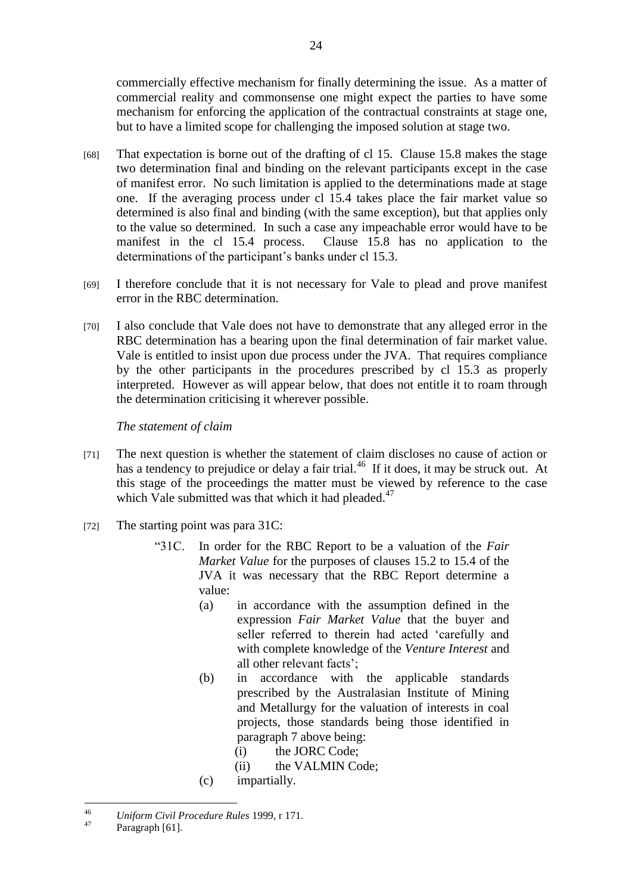commercially effective mechanism for finally determining the issue. As a matter of commercial reality and commonsense one might expect the parties to have some mechanism for enforcing the application of the contractual constraints at stage one, but to have a limited scope for challenging the imposed solution at stage two.

- [68] That expectation is borne out of the drafting of cl 15. Clause 15.8 makes the stage two determination final and binding on the relevant participants except in the case of manifest error. No such limitation is applied to the determinations made at stage one. If the averaging process under cl 15.4 takes place the fair market value so determined is also final and binding (with the same exception), but that applies only to the value so determined. In such a case any impeachable error would have to be manifest in the cl 15.4 process. Clause 15.8 has no application to the determinations of the participant's banks under cl 15.3.
- [69] I therefore conclude that it is not necessary for Vale to plead and prove manifest error in the RBC determination.
- [70] I also conclude that Vale does not have to demonstrate that any alleged error in the RBC determination has a bearing upon the final determination of fair market value. Vale is entitled to insist upon due process under the JVA. That requires compliance by the other participants in the procedures prescribed by cl 15.3 as properly interpreted. However as will appear below, that does not entitle it to roam through the determination criticising it wherever possible.

*The statement of claim*

- [71] The next question is whether the statement of claim discloses no cause of action or has a tendency to prejudice or delay a fair trial.<sup>46</sup> If it does, it may be struck out. At this stage of the proceedings the matter must be viewed by reference to the case which Vale submitted was that which it had pleaded. $47$
- [72] The starting point was para 31C:
	- "31C. In order for the RBC Report to be a valuation of the *Fair Market Value* for the purposes of clauses 15.2 to 15.4 of the JVA it was necessary that the RBC Report determine a value:
		- (a) in accordance with the assumption defined in the expression *Fair Market Value* that the buyer and seller referred to therein had acted "carefully and with complete knowledge of the *Venture Interest* and all other relevant facts";
		- (b) in accordance with the applicable standards prescribed by the Australasian Institute of Mining and Metallurgy for the valuation of interests in coal projects, those standards being those identified in paragraph 7 above being:
			- (i) the JORC Code;
			- (ii) the VALMIN Code;
		- (c) impartially.

 $46$ <sup>46</sup> *Uniform Civil Procedure Rules* 1999, r 171.

Paragraph [61].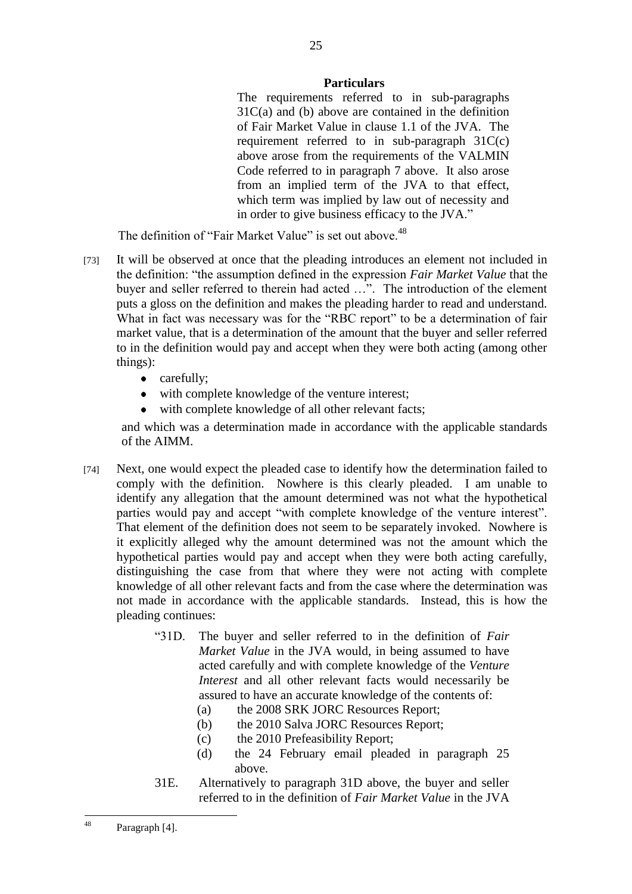#### **Particulars**

The requirements referred to in sub-paragraphs 31C(a) and (b) above are contained in the definition of Fair Market Value in clause 1.1 of the JVA. The requirement referred to in sub-paragraph 31C(c) above arose from the requirements of the VALMIN Code referred to in paragraph 7 above. It also arose from an implied term of the JVA to that effect, which term was implied by law out of necessity and in order to give business efficacy to the JVA."

The definition of "Fair Market Value" is set out above.<sup>48</sup>

- [73] It will be observed at once that the pleading introduces an element not included in the definition: "the assumption defined in the expression *Fair Market Value* that the buyer and seller referred to therein had acted …". The introduction of the element puts a gloss on the definition and makes the pleading harder to read and understand. What in fact was necessary was for the "RBC report" to be a determination of fair market value, that is a determination of the amount that the buyer and seller referred to in the definition would pay and accept when they were both acting (among other things):
	- carefully;
	- with complete knowledge of the venture interest;
	- with complete knowledge of all other relevant facts;

and which was a determination made in accordance with the applicable standards of the AIMM.

- [74] Next, one would expect the pleaded case to identify how the determination failed to comply with the definition. Nowhere is this clearly pleaded. I am unable to identify any allegation that the amount determined was not what the hypothetical parties would pay and accept "with complete knowledge of the venture interest". That element of the definition does not seem to be separately invoked. Nowhere is it explicitly alleged why the amount determined was not the amount which the hypothetical parties would pay and accept when they were both acting carefully, distinguishing the case from that where they were not acting with complete knowledge of all other relevant facts and from the case where the determination was not made in accordance with the applicable standards. Instead, this is how the pleading continues:
	- "31D. The buyer and seller referred to in the definition of *Fair Market Value* in the JVA would, in being assumed to have acted carefully and with complete knowledge of the *Venture Interest* and all other relevant facts would necessarily be assured to have an accurate knowledge of the contents of:
		- (a) the 2008 SRK JORC Resources Report;
		- (b) the 2010 Salva JORC Resources Report;
		- (c) the 2010 Prefeasibility Report;
		- (d) the 24 February email pleaded in paragraph 25 above.
	- 31E. Alternatively to paragraph 31D above, the buyer and seller referred to in the definition of *Fair Market Value* in the JVA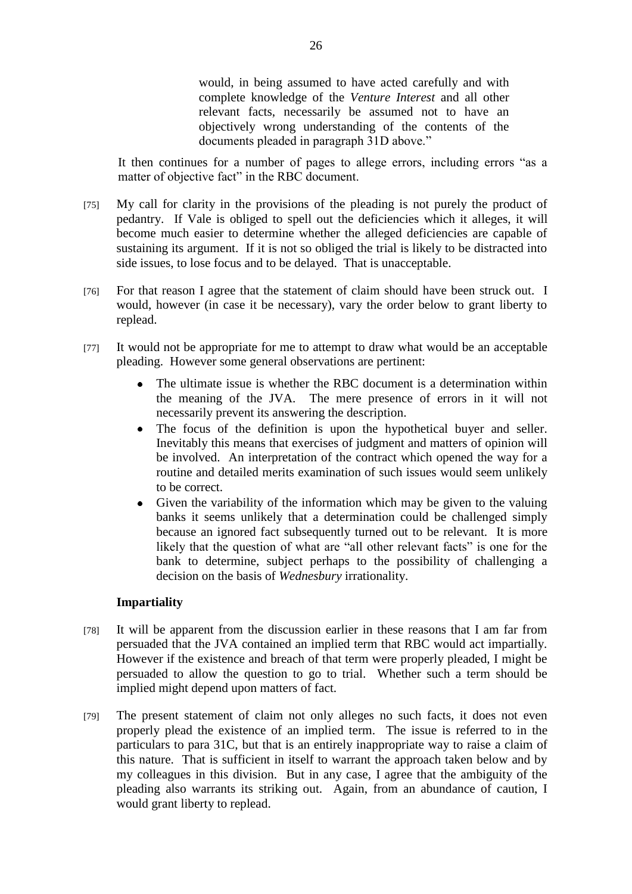would, in being assumed to have acted carefully and with complete knowledge of the *Venture Interest* and all other relevant facts, necessarily be assumed not to have an objectively wrong understanding of the contents of the documents pleaded in paragraph 31D above."

It then continues for a number of pages to allege errors, including errors "as a matter of objective fact" in the RBC document.

- [75] My call for clarity in the provisions of the pleading is not purely the product of pedantry. If Vale is obliged to spell out the deficiencies which it alleges, it will become much easier to determine whether the alleged deficiencies are capable of sustaining its argument. If it is not so obliged the trial is likely to be distracted into side issues, to lose focus and to be delayed. That is unacceptable.
- [76] For that reason I agree that the statement of claim should have been struck out. I would, however (in case it be necessary), vary the order below to grant liberty to replead.
- [77] It would not be appropriate for me to attempt to draw what would be an acceptable pleading. However some general observations are pertinent:
	- The ultimate issue is whether the RBC document is a determination within  $\bullet$ the meaning of the JVA. The mere presence of errors in it will not necessarily prevent its answering the description.
	- The focus of the definition is upon the hypothetical buyer and seller.  $\bullet$ Inevitably this means that exercises of judgment and matters of opinion will be involved. An interpretation of the contract which opened the way for a routine and detailed merits examination of such issues would seem unlikely to be correct.
	- Given the variability of the information which may be given to the valuing banks it seems unlikely that a determination could be challenged simply because an ignored fact subsequently turned out to be relevant. It is more likely that the question of what are "all other relevant facts" is one for the bank to determine, subject perhaps to the possibility of challenging a decision on the basis of *Wednesbury* irrationality.

#### **Impartiality**

- [78] It will be apparent from the discussion earlier in these reasons that I am far from persuaded that the JVA contained an implied term that RBC would act impartially. However if the existence and breach of that term were properly pleaded, I might be persuaded to allow the question to go to trial. Whether such a term should be implied might depend upon matters of fact.
- [79] The present statement of claim not only alleges no such facts, it does not even properly plead the existence of an implied term. The issue is referred to in the particulars to para 31C, but that is an entirely inappropriate way to raise a claim of this nature. That is sufficient in itself to warrant the approach taken below and by my colleagues in this division. But in any case, I agree that the ambiguity of the pleading also warrants its striking out. Again, from an abundance of caution, I would grant liberty to replead.